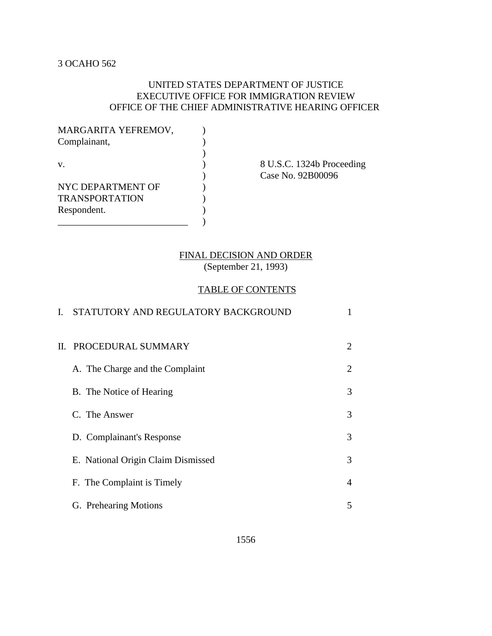# UNITED STATES DEPARTMENT OF JUSTICE EXECUTIVE OFFICE FOR IMMIGRATION REVIEW OFFICE OF THE CHIEF ADMINISTRATIVE HEARING OFFICER

| MARGARITA YEFREMOV,   |  |
|-----------------------|--|
| Complainant,          |  |
|                       |  |
| V.                    |  |
|                       |  |
| NYC DEPARTMENT OF     |  |
| <b>TRANSPORTATION</b> |  |
| Respondent.           |  |
|                       |  |

8 U.S.C. 1324b Proceeding ) Case No. 92B00096

# FINAL DECISION AND ORDER

(September 21, 1993)

# TABLE OF CONTENTS

| $\mathbf{I}$ . | STATUTORY AND REGULATORY BACKGROUND |                |
|----------------|-------------------------------------|----------------|
|                | II. PROCEDURAL SUMMARY              | 2              |
|                | A. The Charge and the Complaint     | 2              |
|                | B. The Notice of Hearing            | 3              |
|                | C. The Answer                       | 3              |
|                | D. Complainant's Response           | 3              |
|                | E. National Origin Claim Dismissed  | 3              |
|                | F. The Complaint is Timely          | $\overline{4}$ |
|                | G. Prehearing Motions               | 5              |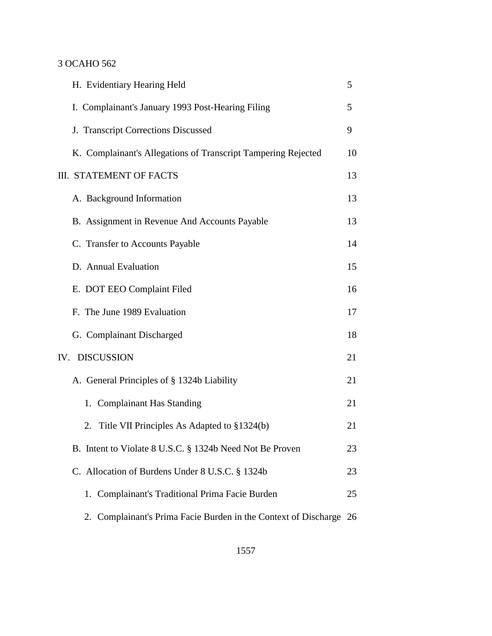| H. Evidentiary Hearing Held                                        | 5  |
|--------------------------------------------------------------------|----|
| I. Complainant's January 1993 Post-Hearing Filing                  | 5  |
| J. Transcript Corrections Discussed                                | 9  |
| K. Complainant's Allegations of Transcript Tampering Rejected      | 10 |
| III. STATEMENT OF FACTS                                            | 13 |
| A. Background Information                                          | 13 |
| B. Assignment in Revenue And Accounts Payable                      | 13 |
| C. Transfer to Accounts Payable                                    | 14 |
| D. Annual Evaluation                                               | 15 |
| E. DOT EEO Complaint Filed                                         | 16 |
| F. The June 1989 Evaluation                                        | 17 |
| G. Complainant Discharged                                          | 18 |
| IV. DISCUSSION                                                     | 21 |
| A. General Principles of § 1324b Liability                         | 21 |
| 1. Complainant Has Standing                                        | 21 |
| 2. Title VII Principles As Adapted to §1324(b)                     | 21 |
| B. Intent to Violate 8 U.S.C. § 1324b Need Not Be Proven           | 23 |
| C. Allocation of Burdens Under 8 U.S.C. § 1324b                    | 23 |
| 1. Complainant's Traditional Prima Facie Burden                    | 25 |
| 2. Complainant's Prima Facie Burden in the Context of Discharge 26 |    |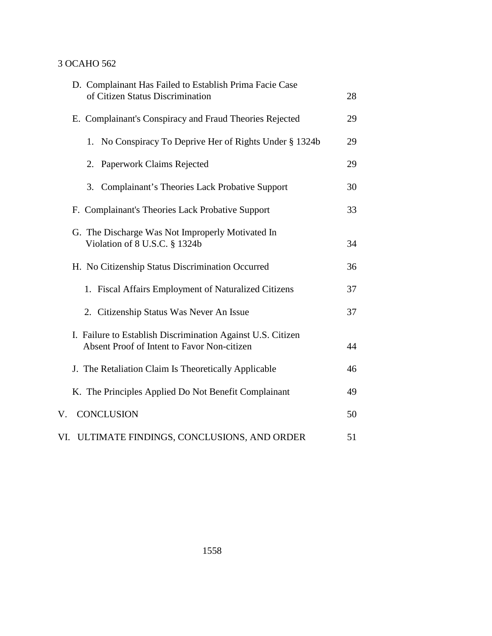| D. Complainant Has Failed to Establish Prima Facie Case<br>of Citizen Status Discrimination                | 28 |
|------------------------------------------------------------------------------------------------------------|----|
| E. Complainant's Conspiracy and Fraud Theories Rejected                                                    | 29 |
| 1. No Conspiracy To Deprive Her of Rights Under § 1324b                                                    | 29 |
| Paperwork Claims Rejected<br>2.                                                                            | 29 |
| 3. Complainant's Theories Lack Probative Support                                                           | 30 |
| F. Complainant's Theories Lack Probative Support                                                           | 33 |
| G. The Discharge Was Not Improperly Motivated In<br>Violation of 8 U.S.C. § 1324b                          | 34 |
| H. No Citizenship Status Discrimination Occurred                                                           | 36 |
| 1. Fiscal Affairs Employment of Naturalized Citizens                                                       | 37 |
| 2. Citizenship Status Was Never An Issue                                                                   | 37 |
| I. Failure to Establish Discrimination Against U.S. Citizen<br>Absent Proof of Intent to Favor Non-citizen | 44 |
| J. The Retaliation Claim Is Theoretically Applicable                                                       | 46 |
| K. The Principles Applied Do Not Benefit Complainant                                                       | 49 |
| <b>CONCLUSION</b><br>V.                                                                                    | 50 |
| ULTIMATE FINDINGS, CONCLUSIONS, AND ORDER<br>VI.                                                           | 51 |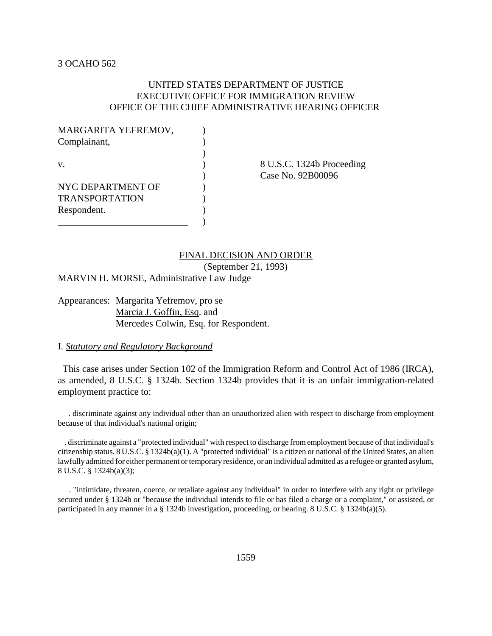# UNITED STATES DEPARTMENT OF JUSTICE EXECUTIVE OFFICE FOR IMMIGRATION REVIEW OFFICE OF THE CHIEF ADMINISTRATIVE HEARING OFFICER

| MARGARITA YEFREMOV,   |  |
|-----------------------|--|
| Complainant,          |  |
|                       |  |
| $\mathbf{V}$          |  |
|                       |  |
| NYC DEPARTMENT OF     |  |
| <b>TRANSPORTATION</b> |  |
| Respondent.           |  |
|                       |  |

8 U.S.C. 1324b Proceeding ) Case No. 92B00096

# FINAL DECISION AND ORDER

(September 21, 1993)

MARVIN H. MORSE, Administrative Law Judge

Appearances: Margarita Yefremov, pro se Marcia J. Goffin, Esq. and Mercedes Colwin, Esq. for Respondent.

# I. *Statutory and Regulatory Background*

 This case arises under Section 102 of the Immigration Reform and Control Act of 1986 (IRCA), as amended, 8 U.S.C. § 1324b. Section 1324b provides that it is an unfair immigration-related employment practice to:

 . discriminate against any individual other than an unauthorized alien with respect to discharge from employment because of that individual's national origin;

 . discriminate against a "protected individual" with respect to discharge from employment because of that individual's citizenship status. 8 U.S.C. § 1324b(a)(1). A "protected individual" is a citizen or national of the United States, an alien lawfully admitted for either permanent or temporary residence, or an individual admitted as a refugee or granted asylum, 8 U.S.C. § 1324b(a)(3);

 . "intimidate, threaten, coerce, or retaliate against any individual" in order to interfere with any right or privilege secured under § 1324b or "because the individual intends to file or has filed a charge or a complaint," or assisted, or participated in any manner in a § 1324b investigation, proceeding, or hearing. 8 U.S.C. § 1324b(a)(5).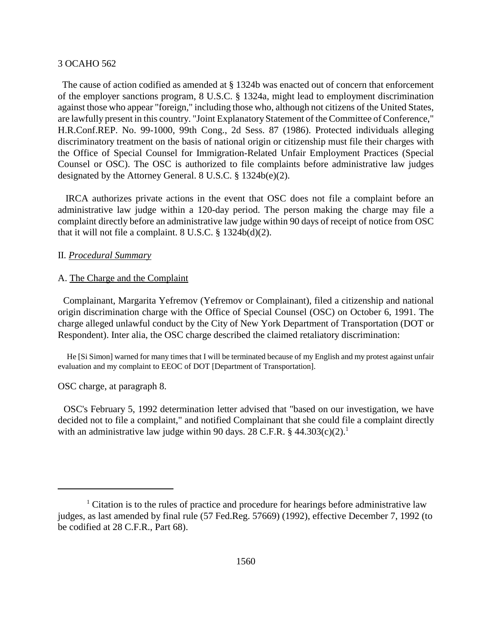The cause of action codified as amended at § 1324b was enacted out of concern that enforcement of the employer sanctions program, 8 U.S.C. § 1324a, might lead to employment discrimination against those who appear "foreign," including those who, although not citizens of the United States, are lawfully present in this country. "Joint Explanatory Statement of the Committee of Conference," H.R.Conf.REP. No. 99-1000, 99th Cong., 2d Sess. 87 (1986). Protected individuals alleging discriminatory treatment on the basis of national origin or citizenship must file their charges with the Office of Special Counsel for Immigration-Related Unfair Employment Practices (Special Counsel or OSC). The OSC is authorized to file complaints before administrative law judges designated by the Attorney General. 8 U.S.C. § 1324b(e)(2).

 IRCA authorizes private actions in the event that OSC does not file a complaint before an administrative law judge within a 120-day period. The person making the charge may file a complaint directly before an administrative law judge within 90 days of receipt of notice from OSC that it will not file a complaint. 8 U.S.C. § 1324b(d)(2).

#### II. *Procedural Summary*

# A. The Charge and the Complaint

 Complainant, Margarita Yefremov (Yefremov or Complainant), filed a citizenship and national origin discrimination charge with the Office of Special Counsel (OSC) on October 6, 1991. The charge alleged unlawful conduct by the City of New York Department of Transportation (DOT or Respondent). Inter alia, the OSC charge described the claimed retaliatory discrimination:

 He [Si Simon] warned for many times that I will be terminated because of my English and my protest against unfair evaluation and my complaint to EEOC of DOT [Department of Transportation].

OSC charge, at paragraph 8.

 OSC's February 5, 1992 determination letter advised that "based on our investigation, we have decided not to file a complaint," and notified Complainant that she could file a complaint directly with an administrative law judge within 90 days. 28 C.F.R.  $\S$  44.303(c)(2).<sup>1</sup>

<sup>&</sup>lt;sup>1</sup> Citation is to the rules of practice and procedure for hearings before administrative law judges, as last amended by final rule (57 Fed.Reg. 57669) (1992), effective December 7, 1992 (to be codified at 28 C.F.R., Part 68).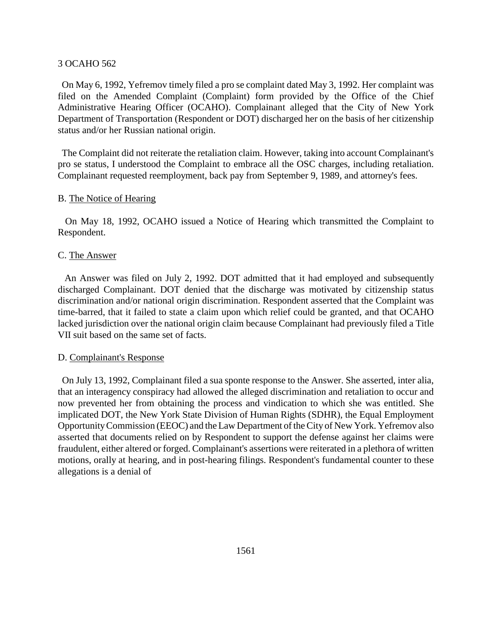On May 6, 1992, Yefremov timely filed a pro se complaint dated May 3, 1992. Her complaint was filed on the Amended Complaint (Complaint) form provided by the Office of the Chief Administrative Hearing Officer (OCAHO). Complainant alleged that the City of New York Department of Transportation (Respondent or DOT) discharged her on the basis of her citizenship status and/or her Russian national origin.

 The Complaint did not reiterate the retaliation claim. However, taking into account Complainant's pro se status, I understood the Complaint to embrace all the OSC charges, including retaliation. Complainant requested reemployment, back pay from September 9, 1989, and attorney's fees.

# B. The Notice of Hearing

 On May 18, 1992, OCAHO issued a Notice of Hearing which transmitted the Complaint to Respondent.

# C. The Answer

 An Answer was filed on July 2, 1992. DOT admitted that it had employed and subsequently discharged Complainant. DOT denied that the discharge was motivated by citizenship status discrimination and/or national origin discrimination. Respondent asserted that the Complaint was time-barred, that it failed to state a claim upon which relief could be granted, and that OCAHO lacked jurisdiction over the national origin claim because Complainant had previously filed a Title VII suit based on the same set of facts.

# D. Complainant's Response

 On July 13, 1992, Complainant filed a sua sponte response to the Answer. She asserted, inter alia, that an interagency conspiracy had allowed the alleged discrimination and retaliation to occur and now prevented her from obtaining the process and vindication to which she was entitled. She implicated DOT, the New York State Division of Human Rights (SDHR), the Equal Employment Opportunity Commission (EEOC) and the Law Department of the City of New York. Yefremov also asserted that documents relied on by Respondent to support the defense against her claims were fraudulent, either altered or forged. Complainant's assertions were reiterated in a plethora of written motions, orally at hearing, and in post-hearing filings. Respondent's fundamental counter to these allegations is a denial of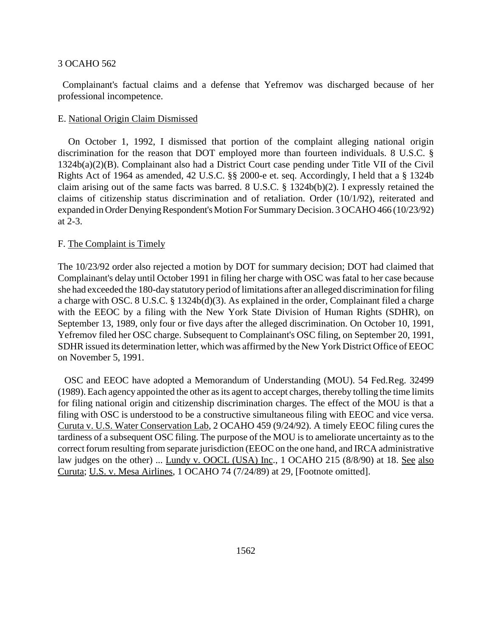Complainant's factual claims and a defense that Yefremov was discharged because of her professional incompetence.

### E. National Origin Claim Dismissed

 On October 1, 1992, I dismissed that portion of the complaint alleging national origin discrimination for the reason that DOT employed more than fourteen individuals. 8 U.S.C. § 1324b(a)(2)(B). Complainant also had a District Court case pending under Title VII of the Civil Rights Act of 1964 as amended, 42 U.S.C. §§ 2000-e et. seq. Accordingly, I held that a § 1324b claim arising out of the same facts was barred. 8 U.S.C. § 1324b(b)(2). I expressly retained the claims of citizenship status discrimination and of retaliation. Order (10/1/92), reiterated and expanded in Order Denying Respondent's Motion For Summary Decision. 3 OCAHO 466 (10/23/92) at 2-3.

# F. The Complaint is Timely

The 10/23/92 order also rejected a motion by DOT for summary decision; DOT had claimed that Complainant's delay until October 1991 in filing her charge with OSC was fatal to her case because she had exceeded the 180-day statutory period of limitations after an alleged discrimination for filing a charge with OSC. 8 U.S.C. § 1324b(d)(3). As explained in the order, Complainant filed a charge with the EEOC by a filing with the New York State Division of Human Rights (SDHR), on September 13, 1989, only four or five days after the alleged discrimination. On October 10, 1991, Yefremov filed her OSC charge. Subsequent to Complainant's OSC filing, on September 20, 1991, SDHR issued its determination letter, which was affirmed by the New York District Office of EEOC on November 5, 1991.

 OSC and EEOC have adopted a Memorandum of Understanding (MOU). 54 Fed.Reg. 32499 (1989). Each agency appointed the other as its agent to accept charges, thereby tolling the time limits for filing national origin and citizenship discrimination charges. The effect of the MOU is that a filing with OSC is understood to be a constructive simultaneous filing with EEOC and vice versa. Curuta v. U.S. Water Conservation Lab, 2 OCAHO 459 (9/24/92). A timely EEOC filing cures the tardiness of a subsequent OSC filing. The purpose of the MOU is to ameliorate uncertainty as to the correct forum resulting from separate jurisdiction (EEOC on the one hand, and IRCA administrative law judges on the other) ... Lundy v. OOCL (USA) Inc., 1 OCAHO 215 (8/8/90) at 18. See also Curuta; U.S. v. Mesa Airlines, 1 OCAHO 74 (7/24/89) at 29, [Footnote omitted].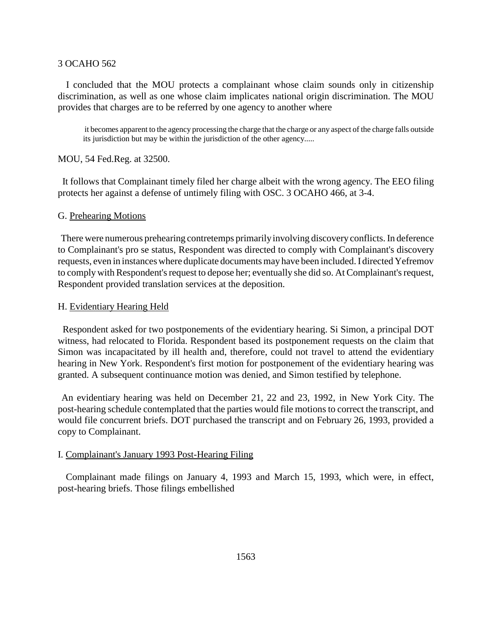I concluded that the MOU protects a complainant whose claim sounds only in citizenship discrimination, as well as one whose claim implicates national origin discrimination. The MOU provides that charges are to be referred by one agency to another where

 it becomes apparent to the agency processing the charge that the charge or any aspect of the charge falls outside its jurisdiction but may be within the jurisdiction of the other agency.....

MOU, 54 Fed.Reg. at 32500.

 It follows that Complainant timely filed her charge albeit with the wrong agency. The EEO filing protects her against a defense of untimely filing with OSC. 3 OCAHO 466, at 3-4.

#### G. Prehearing Motions

 There were numerous prehearing contretemps primarily involving discovery conflicts. In deference to Complainant's pro se status, Respondent was directed to comply with Complainant's discovery requests, even in instances where duplicate documents may have been included. I directed Yefremov to comply with Respondent's request to depose her; eventually she did so. At Complainant's request, Respondent provided translation services at the deposition.

# H. Evidentiary Hearing Held

 Respondent asked for two postponements of the evidentiary hearing. Si Simon, a principal DOT witness, had relocated to Florida. Respondent based its postponement requests on the claim that Simon was incapacitated by ill health and, therefore, could not travel to attend the evidentiary hearing in New York. Respondent's first motion for postponement of the evidentiary hearing was granted. A subsequent continuance motion was denied, and Simon testified by telephone.

 An evidentiary hearing was held on December 21, 22 and 23, 1992, in New York City. The post-hearing schedule contemplated that the parties would file motions to correct the transcript, and would file concurrent briefs. DOT purchased the transcript and on February 26, 1993, provided a copy to Complainant.

### I. Complainant's January 1993 Post-Hearing Filing

 Complainant made filings on January 4, 1993 and March 15, 1993, which were, in effect, post-hearing briefs. Those filings embellished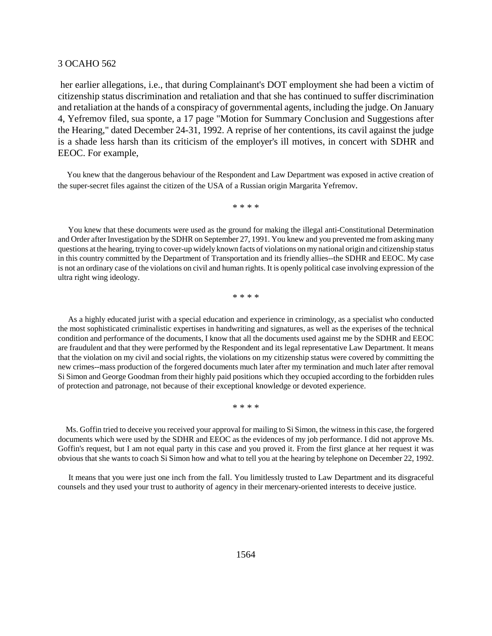her earlier allegations, i.e., that during Complainant's DOT employment she had been a victim of citizenship status discrimination and retaliation and that she has continued to suffer discrimination and retaliation at the hands of a conspiracy of governmental agents, including the judge. On January 4, Yefremov filed, sua sponte, a 17 page "Motion for Summary Conclusion and Suggestions after the Hearing," dated December 24-31, 1992. A reprise of her contentions, its cavil against the judge is a shade less harsh than its criticism of the employer's ill motives, in concert with SDHR and EEOC. For example,

 You knew that the dangerous behaviour of the Respondent and Law Department was exposed in active creation of the super-secret files against the citizen of the USA of a Russian origin Margarita Yefremov.

\* \* \* \*

 You knew that these documents were used as the ground for making the illegal anti-Constitutional Determination and Order after Investigation by the SDHR on September 27, 1991. You knew and you prevented me from asking many questions at the hearing, trying to cover-up widely known facts of violations on my national origin and citizenship status in this country committed by the Department of Transportation and its friendly allies--the SDHR and EEOC. My case is not an ordinary case of the violations on civil and human rights. It is openly political case involving expression of the ultra right wing ideology.

\* \* \* \*

 As a highly educated jurist with a special education and experience in criminology, as a specialist who conducted the most sophisticated criminalistic expertises in handwriting and signatures, as well as the experises of the technical condition and performance of the documents, I know that all the documents used against me by the SDHR and EEOC are fraudulent and that they were performed by the Respondent and its legal representative Law Department. It means that the violation on my civil and social rights, the violations on my citizenship status were covered by committing the new crimes--mass production of the forgered documents much later after my termination and much later after removal Si Simon and George Goodman from their highly paid positions which they occupied according to the forbidden rules of protection and patronage, not because of their exceptional knowledge or devoted experience.

\* \* \* \*

 Ms. Goffin tried to deceive you received your approval for mailing to Si Simon, the witness in this case, the forgered documents which were used by the SDHR and EEOC as the evidences of my job performance. I did not approve Ms. Goffin's request, but I am not equal party in this case and you proved it. From the first glance at her request it was obvious that she wants to coach Si Simon how and what to tell you at the hearing by telephone on December 22, 1992.

 It means that you were just one inch from the fall. You limitlessly trusted to Law Department and its disgraceful counsels and they used your trust to authority of agency in their mercenary-oriented interests to deceive justice.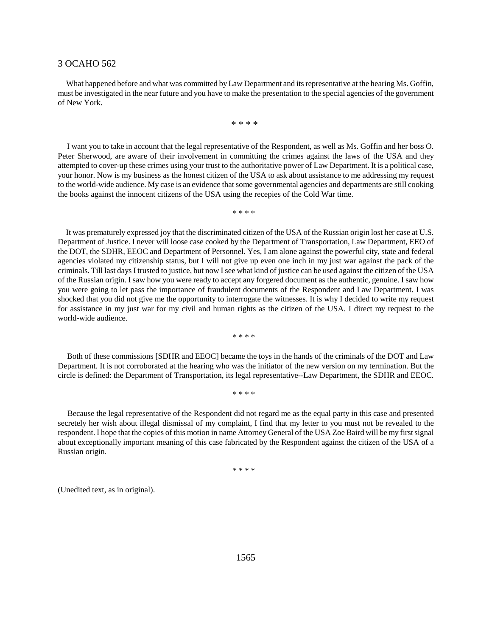What happened before and what was committed by Law Department and its representative at the hearing Ms. Goffin, must be investigated in the near future and you have to make the presentation to the special agencies of the government of New York.

\* \* \* \*

 I want you to take in account that the legal representative of the Respondent, as well as Ms. Goffin and her boss O. Peter Sherwood, are aware of their involvement in committing the crimes against the laws of the USA and they attempted to cover-up these crimes using your trust to the authoritative power of Law Department. It is a political case, your honor. Now is my business as the honest citizen of the USA to ask about assistance to me addressing my request to the world-wide audience. My case is an evidence that some governmental agencies and departments are still cooking the books against the innocent citizens of the USA using the recepies of the Cold War time.

\* \* \* \*

 It was prematurely expressed joy that the discriminated citizen of the USA of the Russian origin lost her case at U.S. Department of Justice. I never will loose case cooked by the Department of Transportation, Law Department, EEO of the DOT, the SDHR, EEOC and Department of Personnel. Yes, I am alone against the powerful city, state and federal agencies violated my citizenship status, but I will not give up even one inch in my just war against the pack of the criminals. Till last days I trusted to justice, but now I see what kind of justice can be used against the citizen of the USA of the Russian origin. I saw how you were ready to accept any forgered document as the authentic, genuine. I saw how you were going to let pass the importance of fraudulent documents of the Respondent and Law Department. I was shocked that you did not give me the opportunity to interrogate the witnesses. It is why I decided to write my request for assistance in my just war for my civil and human rights as the citizen of the USA. I direct my request to the world-wide audience.

\* \* \* \*

 Both of these commissions [SDHR and EEOC] became the toys in the hands of the criminals of the DOT and Law Department. It is not corroborated at the hearing who was the initiator of the new version on my termination. But the circle is defined: the Department of Transportation, its legal representative--Law Department, the SDHR and EEOC.

\* \* \* \*

 Because the legal representative of the Respondent did not regard me as the equal party in this case and presented secretely her wish about illegal dismissal of my complaint, I find that my letter to you must not be revealed to the respondent. I hope that the copies of this motion in name Attorney General of the USA Zoe Baird will be my first signal about exceptionally important meaning of this case fabricated by the Respondent against the citizen of the USA of a Russian origin.

\* \* \* \*

(Unedited text, as in original).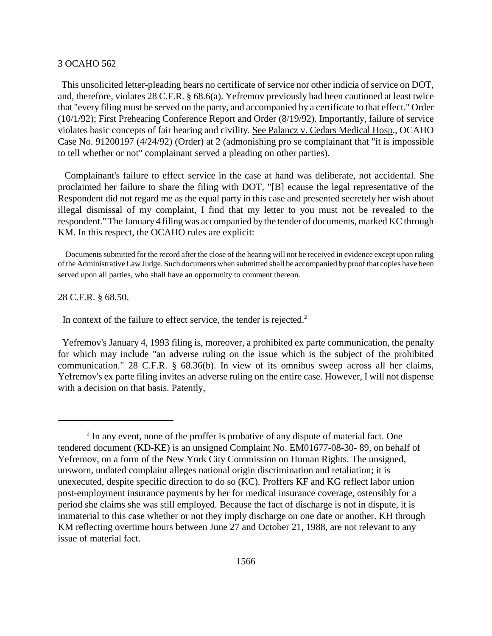This unsolicited letter-pleading bears no certificate of service nor other indicia of service on DOT, and, therefore, violates 28 C.F.R. § 68.6(a). Yefremov previously had been cautioned at least twice that "every filing must be served on the party, and accompanied by a certificate to that effect." Order (10/1/92); First Prehearing Conference Report and Order (8/19/92). Importantly, failure of service violates basic concepts of fair hearing and civility. See Palancz v. Cedars Medical Hosp., OCAHO Case No. 91200197 (4/24/92) (Order) at 2 (admonishing pro se complainant that "it is impossible to tell whether or not" complainant served a pleading on other parties).

 Complainant's failure to effect service in the case at hand was deliberate, not accidental. She proclaimed her failure to share the filing with DOT, "[B] ecause the legal representative of the Respondent did not regard me as the equal party in this case and presented secretely her wish about illegal dismissal of my complaint, I find that my letter to you must not be revealed to the respondent." The January 4 filing was accompanied by the tender of documents, marked KC through KM. In this respect, the OCAHO rules are explicit:

 Documents submitted for the record after the close of the hearing will not be received in evidence except upon ruling of the Administrative Law Judge. Such documents when submitted shall be accompanied by proof that copies have been served upon all parties, who shall have an opportunity to comment thereon.

28 C.F.R. § 68.50.

In context of the failure to effect service, the tender is rejected.<sup>2</sup>

 Yefremov's January 4, 1993 filing is, moreover, a prohibited ex parte communication, the penalty for which may include "an adverse ruling on the issue which is the subject of the prohibited communication." 28 C.F.R. § 68.36(b). In view of its omnibus sweep across all her claims, Yefremov's ex parte filing invites an adverse ruling on the entire case. However, I will not dispense with a decision on that basis. Patently,

 $2 \text{ In any event, none of the profler is probative of any dispute of material fact. One}$ tendered document (KD-KE) is an unsigned Complaint No. EM01677-08-30- 89, on behalf of Yefremov, on a form of the New York City Commission on Human Rights. The unsigned, unsworn, undated complaint alleges national origin discrimination and retaliation; it is unexecuted, despite specific direction to do so (KC). Proffers KF and KG reflect labor union post-employment insurance payments by her for medical insurance coverage, ostensibly for a period she claims she was still employed. Because the fact of discharge is not in dispute, it is immaterial to this case whether or not they imply discharge on one date or another. KH through KM reflecting overtime hours between June 27 and October 21, 1988, are not relevant to any issue of material fact.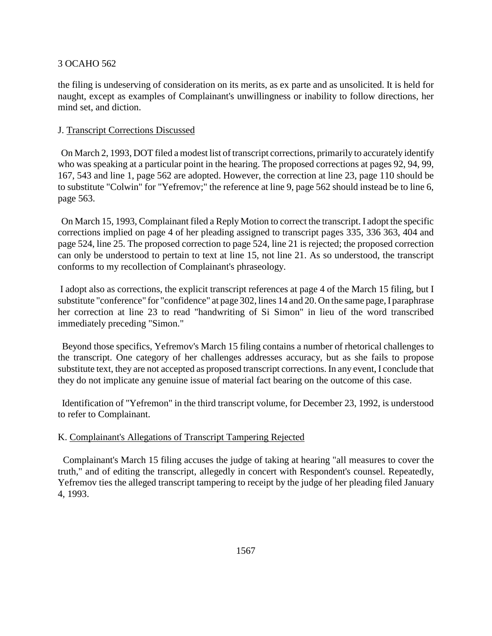the filing is undeserving of consideration on its merits, as ex parte and as unsolicited. It is held for naught, except as examples of Complainant's unwillingness or inability to follow directions, her mind set, and diction.

# J. Transcript Corrections Discussed

 On March 2, 1993, DOT filed a modest list of transcript corrections, primarily to accurately identify who was speaking at a particular point in the hearing. The proposed corrections at pages 92, 94, 99, 167, 543 and line 1, page 562 are adopted. However, the correction at line 23, page 110 should be to substitute "Colwin" for "Yefremov;" the reference at line 9, page 562 should instead be to line 6, page 563.

 On March 15, 1993, Complainant filed a Reply Motion to correct the transcript. I adopt the specific corrections implied on page 4 of her pleading assigned to transcript pages 335, 336 363, 404 and page 524, line 25. The proposed correction to page 524, line 21 is rejected; the proposed correction can only be understood to pertain to text at line 15, not line 21. As so understood, the transcript conforms to my recollection of Complainant's phraseology.

 I adopt also as corrections, the explicit transcript references at page 4 of the March 15 filing, but I substitute "conference" for "confidence" at page 302, lines 14 and 20. On the same page, I paraphrase her correction at line 23 to read "handwriting of Si Simon" in lieu of the word transcribed immediately preceding "Simon."

 Beyond those specifics, Yefremov's March 15 filing contains a number of rhetorical challenges to the transcript. One category of her challenges addresses accuracy, but as she fails to propose substitute text, they are not accepted as proposed transcript corrections. In any event, I conclude that they do not implicate any genuine issue of material fact bearing on the outcome of this case.

 Identification of "Yefremon" in the third transcript volume, for December 23, 1992, is understood to refer to Complainant.

# K. Complainant's Allegations of Transcript Tampering Rejected

 Complainant's March 15 filing accuses the judge of taking at hearing "all measures to cover the truth," and of editing the transcript, allegedly in concert with Respondent's counsel. Repeatedly, Yefremov ties the alleged transcript tampering to receipt by the judge of her pleading filed January 4, 1993.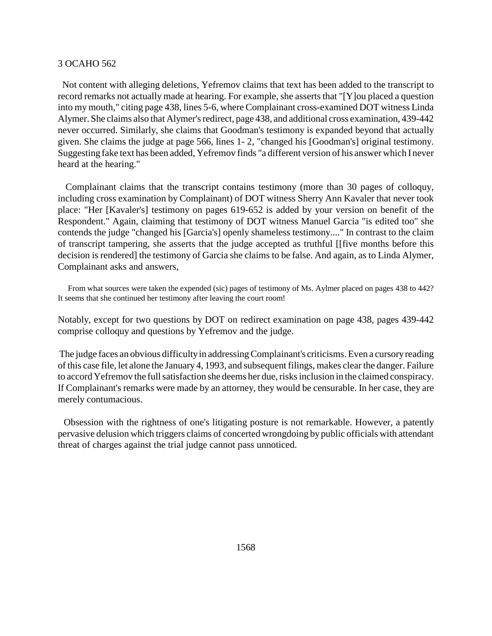Not content with alleging deletions, Yefremov claims that text has been added to the transcript to record remarks not actually made at hearing. For example, she asserts that "[Y]ou placed a question into my mouth," citing page 438, lines 5-6, where Complainant cross-examined DOT witness Linda Alymer. She claims also that Alymer's redirect, page 438, and additional cross examination, 439-442 never occurred. Similarly, she claims that Goodman's testimony is expanded beyond that actually given. She claims the judge at page 566, lines 1- 2, "changed his [Goodman's] original testimony. Suggesting fake text has been added, Yefremov finds "a different version of his answer which I never heard at the hearing."

 Complainant claims that the transcript contains testimony (more than 30 pages of colloquy, including cross examination by Complainant) of DOT witness Sherry Ann Kavaler that never took place: "Her [Kavaler's] testimony on pages 619-652 is added by your version on benefit of the Respondent." Again, claiming that testimony of DOT witness Manuel Garcia "is edited too" she contends the judge "changed his [Garcia's] openly shameless testimony...." In contrast to the claim of transcript tampering, she asserts that the judge accepted as truthful [[five months before this decision is rendered] the testimony of Garcia she claims to be false. And again, as to Linda Alymer, Complainant asks and answers,

 From what sources were taken the expended (sic) pages of testimony of Ms. Aylmer placed on pages 438 to 442? It seems that she continued her testimony after leaving the court room!

Notably, except for two questions by DOT on redirect examination on page 438, pages 439-442 comprise colloquy and questions by Yefremov and the judge.

 The judge faces an obvious difficulty in addressing Complainant's criticisms. Even a cursory reading of this case file, let alone the January 4, 1993, and subsequent filings, makes clear the danger. Failure to accord Yefremov the full satisfaction she deems her due, risks inclusion in the claimed conspiracy. If Complainant's remarks were made by an attorney, they would be censurable. In her case, they are merely contumacious.

 Obsession with the rightness of one's litigating posture is not remarkable. However, a patently pervasive delusion which triggers claims of concerted wrongdoing by public officials with attendant threat of charges against the trial judge cannot pass unnoticed.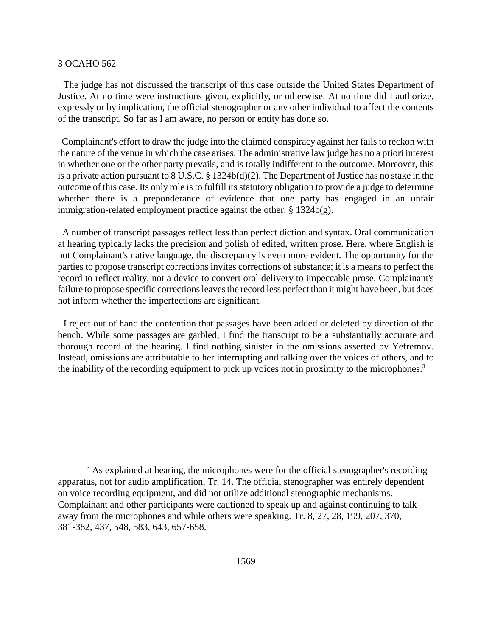The judge has not discussed the transcript of this case outside the United States Department of Justice. At no time were instructions given, explicitly, or otherwise. At no time did I authorize, expressly or by implication, the official stenographer or any other individual to affect the contents of the transcript. So far as I am aware, no person or entity has done so.

 Complainant's effort to draw the judge into the claimed conspiracy against her fails to reckon with the nature of the venue in which the case arises. The administrative law judge has no a priori interest in whether one or the other party prevails, and is totally indifferent to the outcome. Moreover, this is a private action pursuant to 8 U.S.C. § 1324b(d)(2). The Department of Justice has no stake in the outcome of this case. Its only role is to fulfill its statutory obligation to provide a judge to determine whether there is a preponderance of evidence that one party has engaged in an unfair immigration-related employment practice against the other. § 1324b(g).

 A number of transcript passages reflect less than perfect diction and syntax. Oral communication at hearing typically lacks the precision and polish of edited, written prose. Here, where English is not Complainant's native language, the discrepancy is even more evident. The opportunity for the parties to propose transcript corrections invites corrections of substance; it is a means to perfect the record to reflect reality, not a device to convert oral delivery to impeccable prose. Complainant's failure to propose specific corrections leaves the record less perfect than it might have been, but does not inform whether the imperfections are significant.

 I reject out of hand the contention that passages have been added or deleted by direction of the bench. While some passages are garbled, I find the transcript to be a substantially accurate and thorough record of the hearing. I find nothing sinister in the omissions asserted by Yefremov. Instead, omissions are attributable to her interrupting and talking over the voices of others, and to the inability of the recording equipment to pick up voices not in proximity to the microphones.<sup>3</sup>

<sup>&</sup>lt;sup>3</sup> As explained at hearing, the microphones were for the official stenographer's recording apparatus, not for audio amplification. Tr. 14. The official stenographer was entirely dependent on voice recording equipment, and did not utilize additional stenographic mechanisms. Complainant and other participants were cautioned to speak up and against continuing to talk away from the microphones and while others were speaking. Tr. 8, 27, 28, 199, 207, 370, 381-382, 437, 548, 583, 643, 657-658.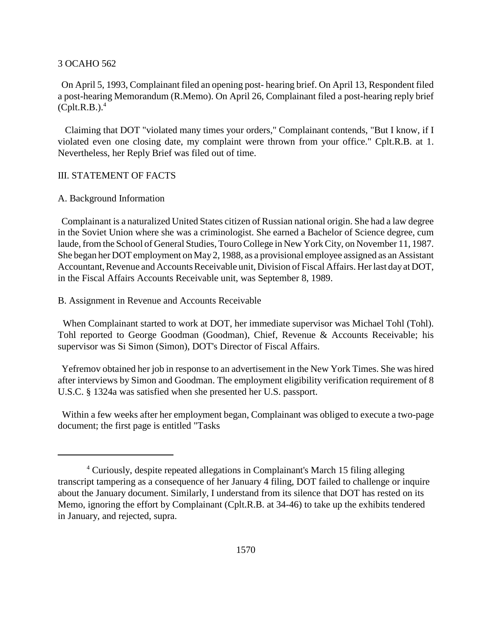On April 5, 1993, Complainant filed an opening post- hearing brief. On April 13, Respondent filed a post-hearing Memorandum (R.Memo). On April 26, Complainant filed a post-hearing reply brief  $(Cplt.R.B.).<sup>4</sup>$ 

 Claiming that DOT "violated many times your orders," Complainant contends, "But I know, if I violated even one closing date, my complaint were thrown from your office." Cplt.R.B. at 1. Nevertheless, her Reply Brief was filed out of time.

#### III. STATEMENT OF FACTS

## A. Background Information

 Complainant is a naturalized United States citizen of Russian national origin. She had a law degree in the Soviet Union where she was a criminologist. She earned a Bachelor of Science degree, cum laude, from the School of General Studies, Touro College in New York City, on November 11, 1987. She began her DOT employment on May 2, 1988, as a provisional employee assigned as an Assistant Accountant, Revenue and Accounts Receivable unit, Division of Fiscal Affairs. Her last day at DOT, in the Fiscal Affairs Accounts Receivable unit, was September 8, 1989.

B. Assignment in Revenue and Accounts Receivable

 When Complainant started to work at DOT, her immediate supervisor was Michael Tohl (Tohl). Tohl reported to George Goodman (Goodman), Chief, Revenue & Accounts Receivable; his supervisor was Si Simon (Simon), DOT's Director of Fiscal Affairs.

 Yefremov obtained her job in response to an advertisement in the New York Times. She was hired after interviews by Simon and Goodman. The employment eligibility verification requirement of 8 U.S.C. § 1324a was satisfied when she presented her U.S. passport.

 Within a few weeks after her employment began, Complainant was obliged to execute a two-page document; the first page is entitled "Tasks

<sup>4</sup> Curiously, despite repeated allegations in Complainant's March 15 filing alleging transcript tampering as a consequence of her January 4 filing, DOT failed to challenge or inquire about the January document. Similarly, I understand from its silence that DOT has rested on its Memo, ignoring the effort by Complainant (Cplt.R.B. at 34-46) to take up the exhibits tendered in January, and rejected, supra.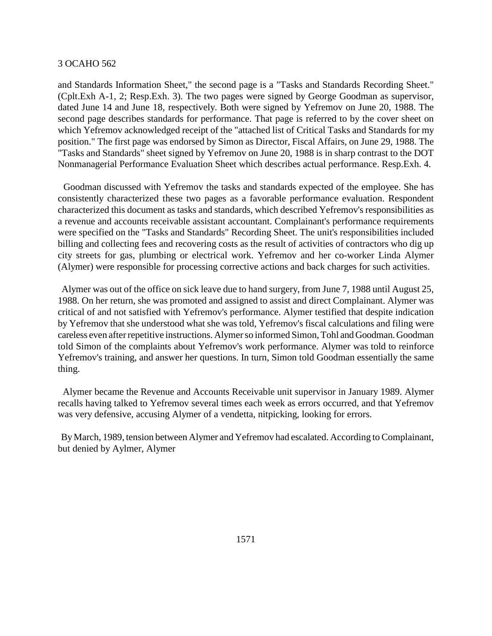and Standards Information Sheet," the second page is a "Tasks and Standards Recording Sheet." (Cplt.Exh A-1, 2; Resp.Exh. 3). The two pages were signed by George Goodman as supervisor, dated June 14 and June 18, respectively. Both were signed by Yefremov on June 20, 1988. The second page describes standards for performance. That page is referred to by the cover sheet on which Yefremov acknowledged receipt of the "attached list of Critical Tasks and Standards for my position." The first page was endorsed by Simon as Director, Fiscal Affairs, on June 29, 1988. The "Tasks and Standards" sheet signed by Yefremov on June 20, 1988 is in sharp contrast to the DOT Nonmanagerial Performance Evaluation Sheet which describes actual performance. Resp.Exh. 4.

 Goodman discussed with Yefremov the tasks and standards expected of the employee. She has consistently characterized these two pages as a favorable performance evaluation. Respondent characterized this document as tasks and standards, which described Yefremov's responsibilities as a revenue and accounts receivable assistant accountant. Complainant's performance requirements were specified on the "Tasks and Standards" Recording Sheet. The unit's responsibilities included billing and collecting fees and recovering costs as the result of activities of contractors who dig up city streets for gas, plumbing or electrical work. Yefremov and her co-worker Linda Alymer (Alymer) were responsible for processing corrective actions and back charges for such activities.

 Alymer was out of the office on sick leave due to hand surgery, from June 7, 1988 until August 25, 1988. On her return, she was promoted and assigned to assist and direct Complainant. Alymer was critical of and not satisfied with Yefremov's performance. Alymer testified that despite indication by Yefremov that she understood what she was told, Yefremov's fiscal calculations and filing were careless even after repetitive instructions. Alymer so informed Simon, Tohl and Goodman. Goodman told Simon of the complaints about Yefremov's work performance. Alymer was told to reinforce Yefremov's training, and answer her questions. In turn, Simon told Goodman essentially the same thing.

 Alymer became the Revenue and Accounts Receivable unit supervisor in January 1989. Alymer recalls having talked to Yefremov several times each week as errors occurred, and that Yefremov was very defensive, accusing Alymer of a vendetta, nitpicking, looking for errors.

 By March, 1989, tension between Alymer and Yefremov had escalated. According to Complainant, but denied by Aylmer, Alymer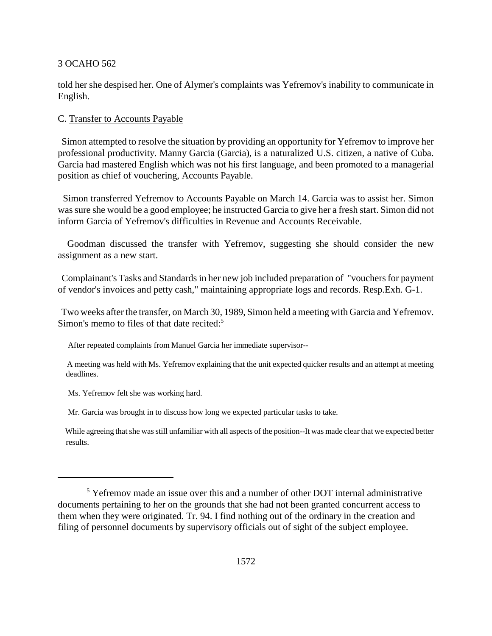told her she despised her. One of Alymer's complaints was Yefremov's inability to communicate in English.

## C. Transfer to Accounts Payable

 Simon attempted to resolve the situation by providing an opportunity for Yefremov to improve her professional productivity. Manny Garcia (Garcia), is a naturalized U.S. citizen, a native of Cuba. Garcia had mastered English which was not his first language, and been promoted to a managerial position as chief of vouchering, Accounts Payable.

 Simon transferred Yefremov to Accounts Payable on March 14. Garcia was to assist her. Simon was sure she would be a good employee; he instructed Garcia to give her a fresh start. Simon did not inform Garcia of Yefremov's difficulties in Revenue and Accounts Receivable.

 Goodman discussed the transfer with Yefremov, suggesting she should consider the new assignment as a new start.

 Complainant's Tasks and Standards in her new job included preparation of "vouchers for payment of vendor's invoices and petty cash," maintaining appropriate logs and records. Resp.Exh. G-1.

 Two weeks after the transfer, on March 30, 1989, Simon held a meeting with Garcia and Yefremov. Simon's memo to files of that date recited:<sup>5</sup>

After repeated complaints from Manuel Garcia her immediate supervisor--

 A meeting was held with Ms. Yefremov explaining that the unit expected quicker results and an attempt at meeting deadlines.

Ms. Yefremov felt she was working hard.

Mr. Garcia was brought in to discuss how long we expected particular tasks to take.

While agreeing that she was still unfamiliar with all aspects of the position--It was made clear that we expected better results.

<sup>&</sup>lt;sup>5</sup> Yefremov made an issue over this and a number of other DOT internal administrative documents pertaining to her on the grounds that she had not been granted concurrent access to them when they were originated. Tr. 94. I find nothing out of the ordinary in the creation and filing of personnel documents by supervisory officials out of sight of the subject employee.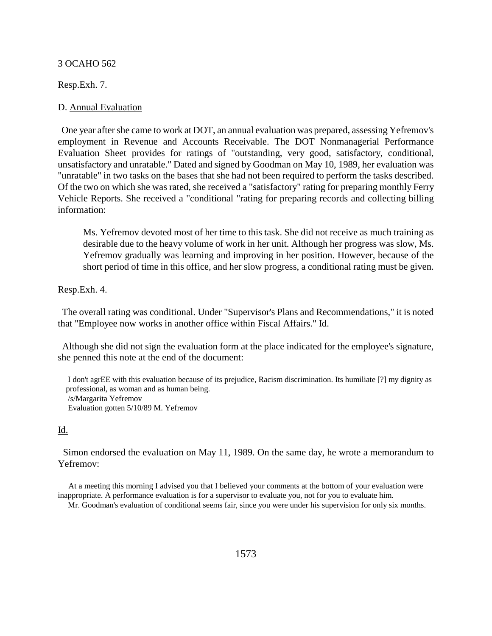Resp.Exh. 7.

# D. Annual Evaluation

 One year after she came to work at DOT, an annual evaluation was prepared, assessing Yefremov's employment in Revenue and Accounts Receivable. The DOT Nonmanagerial Performance Evaluation Sheet provides for ratings of "outstanding, very good, satisfactory, conditional, unsatisfactory and unratable." Dated and signed by Goodman on May 10, 1989, her evaluation was "unratable" in two tasks on the bases that she had not been required to perform the tasks described. Of the two on which she was rated, she received a "satisfactory" rating for preparing monthly Ferry Vehicle Reports. She received a "conditional "rating for preparing records and collecting billing information:

Ms. Yefremov devoted most of her time to this task. She did not receive as much training as desirable due to the heavy volume of work in her unit. Although her progress was slow, Ms. Yefremov gradually was learning and improving in her position. However, because of the short period of time in this office, and her slow progress, a conditional rating must be given.

Resp.Exh. 4.

 The overall rating was conditional. Under "Supervisor's Plans and Recommendations," it is noted that "Employee now works in another office within Fiscal Affairs." Id.

 Although she did not sign the evaluation form at the place indicated for the employee's signature, she penned this note at the end of the document:

 I don't agrEE with this evaluation because of its prejudice, Racism discrimination. Its humiliate [?] my dignity as professional, as woman and as human being. /s/Margarita Yefremov Evaluation gotten 5/10/89 M. Yefremov

# Id.

 Simon endorsed the evaluation on May 11, 1989. On the same day, he wrote a memorandum to Yefremov:

 At a meeting this morning I advised you that I believed your comments at the bottom of your evaluation were inappropriate. A performance evaluation is for a supervisor to evaluate you, not for you to evaluate him.

Mr. Goodman's evaluation of conditional seems fair, since you were under his supervision for only six months.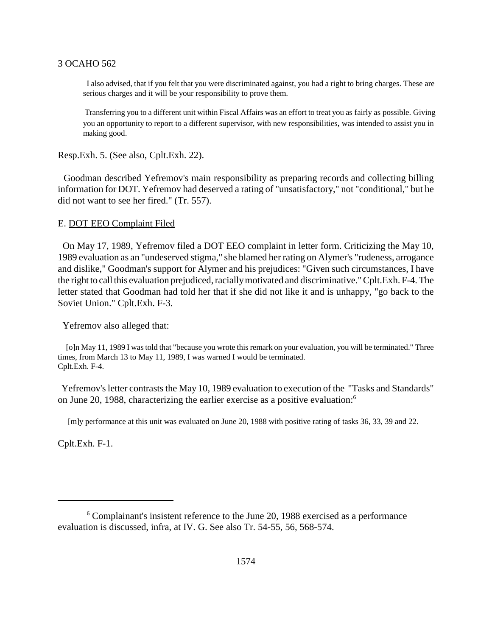I also advised, that if you felt that you were discriminated against, you had a right to bring charges. These are serious charges and it will be your responsibility to prove them.

 Transferring you to a different unit within Fiscal Affairs was an effort to treat you as fairly as possible. Giving you an opportunity to report to a different supervisor, with new responsibilities, was intended to assist you in making good.

Resp.Exh. 5. (See also, Cplt.Exh. 22).

 Goodman described Yefremov's main responsibility as preparing records and collecting billing information for DOT. Yefremov had deserved a rating of "unsatisfactory," not "conditional," but he did not want to see her fired." (Tr. 557).

## E. DOT EEO Complaint Filed

 On May 17, 1989, Yefremov filed a DOT EEO complaint in letter form. Criticizing the May 10, 1989 evaluation as an "undeserved stigma," she blamed her rating on Alymer's "rudeness, arrogance and dislike," Goodman's support for Alymer and his prejudices: "Given such circumstances, I have the right to call this evaluation prejudiced, racially motivated and discriminative." Cplt.Exh. F-4. The letter stated that Goodman had told her that if she did not like it and is unhappy, "go back to the Soviet Union." Cplt.Exh. F-3.

Yefremov also alleged that:

 [o]n May 11, 1989 I was told that "because you wrote this remark on your evaluation, you will be terminated." Three times, from March 13 to May 11, 1989, I was warned I would be terminated. Cplt.Exh. F-4.

 Yefremov's letter contrasts the May 10, 1989 evaluation to execution of the "Tasks and Standards" on June 20, 1988, characterizing the earlier exercise as a positive evaluation:6

[m]y performance at this unit was evaluated on June 20, 1988 with positive rating of tasks 36, 33, 39 and 22.

Cplt.Exh. F-1.

<sup>&</sup>lt;sup>6</sup> Complainant's insistent reference to the June 20, 1988 exercised as a performance evaluation is discussed, infra, at IV. G. See also Tr. 54-55, 56, 568-574.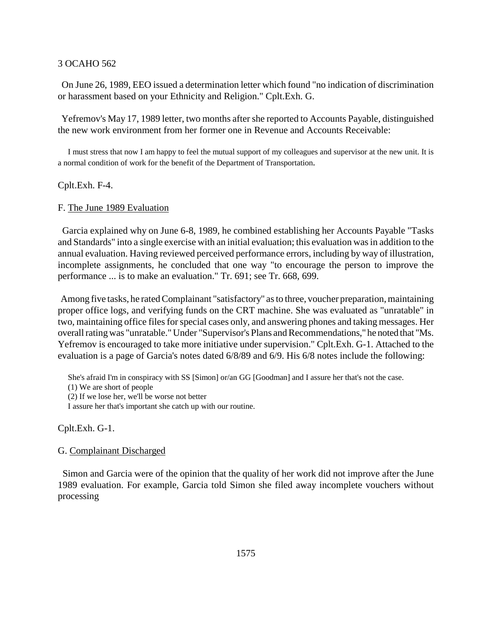On June 26, 1989, EEO issued a determination letter which found "no indication of discrimination or harassment based on your Ethnicity and Religion." Cplt.Exh. G.

 Yefremov's May 17, 1989 letter, two months after she reported to Accounts Payable, distinguished the new work environment from her former one in Revenue and Accounts Receivable:

 I must stress that now I am happy to feel the mutual support of my colleagues and supervisor at the new unit. It is a normal condition of work for the benefit of the Department of Transportation.

Cplt.Exh. F-4.

## F. The June 1989 Evaluation

 Garcia explained why on June 6-8, 1989, he combined establishing her Accounts Payable "Tasks and Standards" into a single exercise with an initial evaluation; this evaluation was in addition to the annual evaluation. Having reviewed perceived performance errors, including by way of illustration, incomplete assignments, he concluded that one way "to encourage the person to improve the performance ... is to make an evaluation." Tr. 691; see Tr. 668, 699.

 Among five tasks, he rated Complainant "satisfactory" as to three, voucher preparation, maintaining proper office logs, and verifying funds on the CRT machine. She was evaluated as "unratable" in two, maintaining office files for special cases only, and answering phones and taking messages. Her overall rating was "unratable." Under "Supervisor's Plans and Recommendations," he noted that "Ms. Yefremov is encouraged to take more initiative under supervision." Cplt.Exh. G-1. Attached to the evaluation is a page of Garcia's notes dated 6/8/89 and 6/9. His 6/8 notes include the following:

She's afraid I'm in conspiracy with SS [Simon] or/an GG [Goodman] and I assure her that's not the case.

(1) We are short of people

(2) If we lose her, we'll be worse not better

I assure her that's important she catch up with our routine.

Cplt.Exh. G-1.

### G. Complainant Discharged

 Simon and Garcia were of the opinion that the quality of her work did not improve after the June 1989 evaluation. For example, Garcia told Simon she filed away incomplete vouchers without processing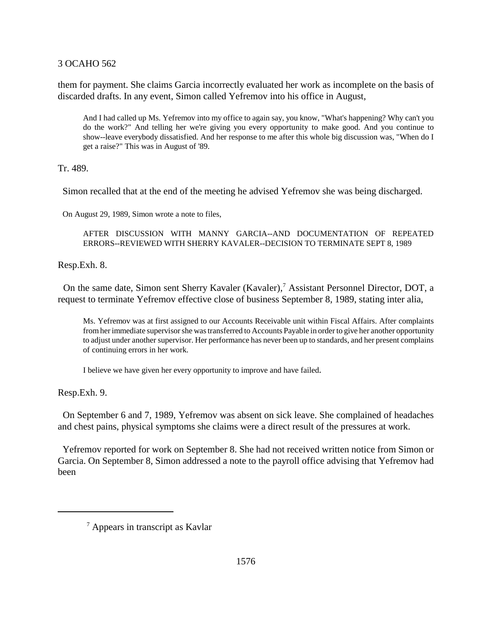them for payment. She claims Garcia incorrectly evaluated her work as incomplete on the basis of discarded drafts. In any event, Simon called Yefremov into his office in August,

And I had called up Ms. Yefremov into my office to again say, you know, "What's happening? Why can't you do the work?" And telling her we're giving you every opportunity to make good. And you continue to show--leave everybody dissatisfied. And her response to me after this whole big discussion was, "When do I get a raise?" This was in August of '89.

Tr. 489.

Simon recalled that at the end of the meeting he advised Yefremov she was being discharged.

On August 29, 1989, Simon wrote a note to files,

AFTER DISCUSSION WITH MANNY GARCIA--AND DOCUMENTATION OF REPEATED ERRORS--REVIEWED WITH SHERRY KAVALER--DECISION TO TERMINATE SEPT 8, 1989

Resp.Exh. 8.

On the same date, Simon sent Sherry Kavaler (Kavaler),<sup>7</sup> Assistant Personnel Director, DOT, a request to terminate Yefremov effective close of business September 8, 1989, stating inter alia,

Ms. Yefremov was at first assigned to our Accounts Receivable unit within Fiscal Affairs. After complaints from her immediate supervisor she was transferred to Accounts Payable in order to give her another opportunity to adjust under another supervisor. Her performance has never been up to standards, and her present complains of continuing errors in her work.

I believe we have given her every opportunity to improve and have failed.

Resp.Exh. 9.

 On September 6 and 7, 1989, Yefremov was absent on sick leave. She complained of headaches and chest pains, physical symptoms she claims were a direct result of the pressures at work.

 Yefremov reported for work on September 8. She had not received written notice from Simon or Garcia. On September 8, Simon addressed a note to the payroll office advising that Yefremov had been

<sup>7</sup> Appears in transcript as Kavlar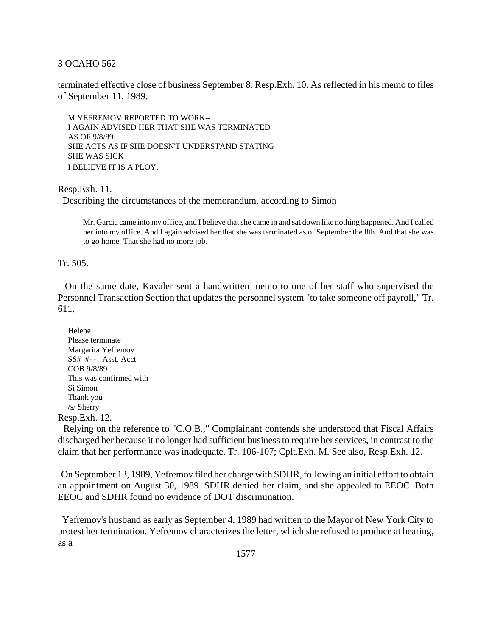terminated effective close of business September 8. Resp.Exh. 10. As reflected in his memo to files of September 11, 1989,

 M YEFREMOV REPORTED TO WORK-- I AGAIN ADVISED HER THAT SHE WAS TERMINATED AS OF 9/8/89 SHE ACTS AS IF SHE DOESN'T UNDERSTAND STATING SHE WAS SICK I BELIEVE IT IS A PLOY.

Resp.Exh. 11.

Describing the circumstances of the memorandum, according to Simon

Mr. Garcia came into my office, and I believe that she came in and sat down like nothing happened. And I called her into my office. And I again advised her that she was terminated as of September the 8th. And that she was to go home. That she had no more job.

Tr. 505.

 On the same date, Kavaler sent a handwritten memo to one of her staff who supervised the Personnel Transaction Section that updates the personnel system "to take someone off payroll," Tr. 611,

 Helene Please terminate Margarita Yefremov SS# #- - Asst. Acct COB 9/8/89 This was confirmed with Si Simon Thank you /s/ Sherry

Resp.Exh. 12.

 Relying on the reference to "C.O.B.," Complainant contends she understood that Fiscal Affairs discharged her because it no longer had sufficient business to require her services, in contrast to the claim that her performance was inadequate. Tr. 106-107; Cplt.Exh. M. See also, Resp.Exh. 12.

 On September 13, 1989, Yefremov filed her charge with SDHR, following an initial effort to obtain an appointment on August 30, 1989. SDHR denied her claim, and she appealed to EEOC. Both EEOC and SDHR found no evidence of DOT discrimination.

 Yefremov's husband as early as September 4, 1989 had written to the Mayor of New York City to protest her termination. Yefremov characterizes the letter, which she refused to produce at hearing, as a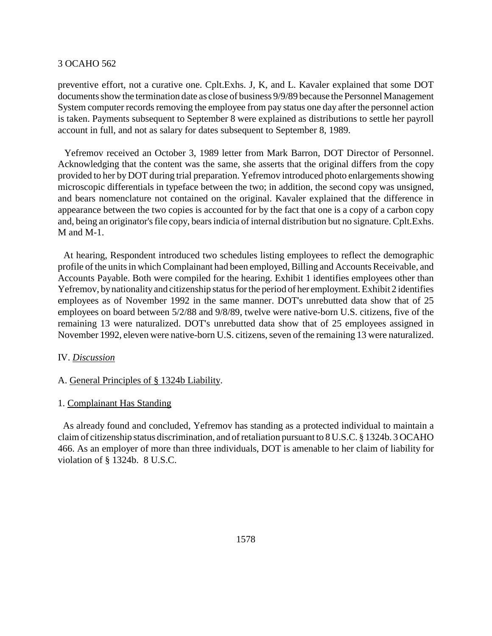preventive effort, not a curative one. Cplt.Exhs. J, K, and L. Kavaler explained that some DOT documents show the termination date as close of business 9/9/89 because the Personnel Management System computer records removing the employee from pay status one day after the personnel action is taken. Payments subsequent to September 8 were explained as distributions to settle her payroll account in full, and not as salary for dates subsequent to September 8, 1989.

 Yefremov received an October 3, 1989 letter from Mark Barron, DOT Director of Personnel. Acknowledging that the content was the same, she asserts that the original differs from the copy provided to her by DOT during trial preparation. Yefremov introduced photo enlargements showing microscopic differentials in typeface between the two; in addition, the second copy was unsigned, and bears nomenclature not contained on the original. Kavaler explained that the difference in appearance between the two copies is accounted for by the fact that one is a copy of a carbon copy and, being an originator's file copy, bears indicia of internal distribution but no signature. Cplt.Exhs. M and M-1.

 At hearing, Respondent introduced two schedules listing employees to reflect the demographic profile of the units in which Complainant had been employed, Billing and Accounts Receivable, and Accounts Payable. Both were compiled for the hearing. Exhibit 1 identifies employees other than Yefremov, by nationality and citizenship status for the period of her employment. Exhibit 2 identifies employees as of November 1992 in the same manner. DOT's unrebutted data show that of 25 employees on board between 5/2/88 and 9/8/89, twelve were native-born U.S. citizens, five of the remaining 13 were naturalized. DOT's unrebutted data show that of 25 employees assigned in November 1992, eleven were native-born U.S. citizens, seven of the remaining 13 were naturalized.

# IV. *Discussion*

### A. General Principles of § 1324b Liability.

# 1. Complainant Has Standing

 As already found and concluded, Yefremov has standing as a protected individual to maintain a claim of citizenship status discrimination, and of retaliation pursuant to 8 U.S.C. § 1324b. 3 OCAHO 466. As an employer of more than three individuals, DOT is amenable to her claim of liability for violation of § 1324b. 8 U.S.C.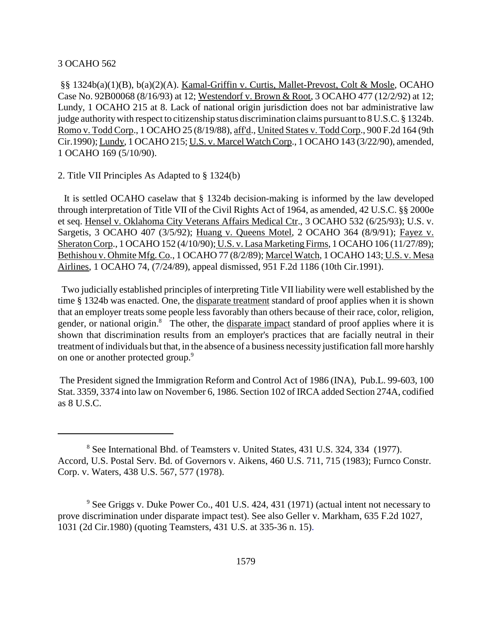§§ 1324b(a)(1)(B), b(a)(2)(A). Kamal-Griffin v. Curtis, Mallet-Prevost, Colt & Mosle, OCAHO Case No. 92B00068 (8/16/93) at 12; Westendorf v. Brown & Root, 3 OCAHO 477 (12/2/92) at 12; Lundy, 1 OCAHO 215 at 8. Lack of national origin jurisdiction does not bar administrative law judge authority with respect to citizenship status discrimination claims pursuant to 8 U.S.C. § 1324b. Romo v. Todd Corp., 1 OCAHO 25 (8/19/88), aff'd., United States v. Todd Corp., 900 F.2d 164 (9th Cir.1990); Lundy, 1 OCAHO 215; U.S. v. Marcel Watch Corp., 1 OCAHO 143 (3/22/90), amended, 1 OCAHO 169 (5/10/90).

# 2. Title VII Principles As Adapted to § 1324(b)

 It is settled OCAHO caselaw that § 1324b decision-making is informed by the law developed through interpretation of Title VII of the Civil Rights Act of 1964, as amended, 42 U.S.C. §§ 2000e et seq. Hensel v. Oklahoma City Veterans Affairs Medical Ctr., 3 OCAHO 532 (6/25/93); U.S. v. Sargetis, 3 OCAHO 407 (3/5/92); Huang v. Queens Motel, 2 OCAHO 364 (8/9/91); Fayez v. Sheraton Corp., 1 OCAHO 152 (4/10/90); U.S. v. Lasa Marketing Firms, 1 OCAHO 106 (11/27/89); Bethishou v. Ohmite Mfg. Co., 1 OCAHO 77 (8/2/89); Marcel Watch, 1 OCAHO 143; U.S. v. Mesa Airlines, 1 OCAHO 74, (7/24/89), appeal dismissed, 951 F.2d 1186 (10th Cir.1991).

 Two judicially established principles of interpreting Title VII liability were well established by the time § 1324b was enacted. One, the disparate treatment standard of proof applies when it is shown that an employer treats some people less favorably than others because of their race, color, religion, gender, or national origin.<sup>8</sup> The other, the disparate impact standard of proof applies where it is shown that discrimination results from an employer's practices that are facially neutral in their treatment of individuals but that, in the absence of a business necessity justification fall more harshly on one or another protected group.<sup>9</sup>

 The President signed the Immigration Reform and Control Act of 1986 (INA), Pub.L. 99-603, 100 Stat. 3359, 3374 into law on November 6, 1986. Section 102 of IRCA added Section 274A, codified as 8 U.S.C.

<sup>&</sup>lt;sup>8</sup> See International Bhd. of Teamsters v. United States, 431 U.S. 324, 334 (1977). Accord, U.S. Postal Serv. Bd. of Governors v. Aikens, 460 U.S. 711, 715 (1983); Furnco Constr. Corp. v. Waters, 438 U.S. 567, 577 (1978).

<sup>&</sup>lt;sup>9</sup> See Griggs v. Duke Power Co., 401 U.S. 424, 431 (1971) (actual intent not necessary to prove discrimination under disparate impact test). See also Geller v. Markham, 635 F.2d 1027, 1031 (2d Cir.1980) (quoting Teamsters, 431 U.S. at 335-36 n. 15).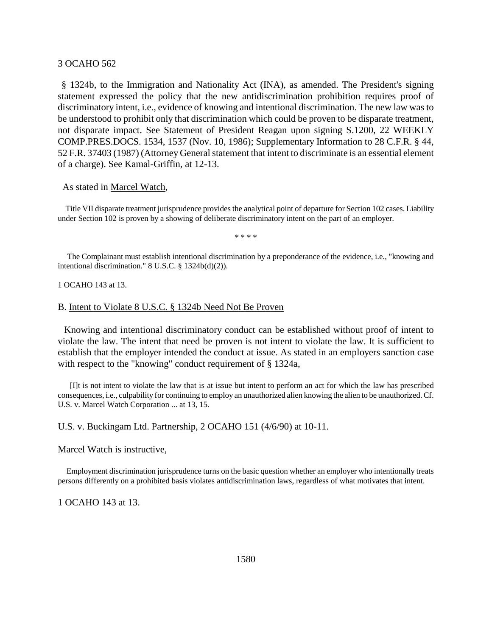§ 1324b, to the Immigration and Nationality Act (INA), as amended. The President's signing statement expressed the policy that the new antidiscrimination prohibition requires proof of discriminatory intent, i.e., evidence of knowing and intentional discrimination. The new law was to be understood to prohibit only that discrimination which could be proven to be disparate treatment, not disparate impact. See Statement of President Reagan upon signing S.1200, 22 WEEKLY COMP.PRES.DOCS. 1534, 1537 (Nov. 10, 1986); Supplementary Information to 28 C.F.R. § 44, 52 F.R. 37403 (1987) (Attorney General statement that intent to discriminate is an essential element of a charge). See Kamal-Griffin, at 12-13.

### As stated in Marcel Watch,

 Title VII disparate treatment jurisprudence provides the analytical point of departure for Section 102 cases. Liability under Section 102 is proven by a showing of deliberate discriminatory intent on the part of an employer.

\* \* \* \*

 The Complainant must establish intentional discrimination by a preponderance of the evidence, i.e., "knowing and intentional discrimination." 8 U.S.C. § 1324b(d)(2)).

1 OCAHO 143 at 13.

#### B. Intent to Violate 8 U.S.C. § 1324b Need Not Be Proven

 Knowing and intentional discriminatory conduct can be established without proof of intent to violate the law. The intent that need be proven is not intent to violate the law. It is sufficient to establish that the employer intended the conduct at issue. As stated in an employers sanction case with respect to the "knowing" conduct requirement of § 1324a,

 [I]t is not intent to violate the law that is at issue but intent to perform an act for which the law has prescribed consequences, i.e., culpability for continuing to employ an unauthorized alien knowing the alien to be unauthorized. Cf. U.S. v. Marcel Watch Corporation ... at 13, 15.

#### U.S. v. Buckingam Ltd. Partnership, 2 OCAHO 151 (4/6/90) at 10-11.

Marcel Watch is instructive,

 Employment discrimination jurisprudence turns on the basic question whether an employer who intentionally treats persons differently on a prohibited basis violates antidiscrimination laws, regardless of what motivates that intent.

1 OCAHO 143 at 13.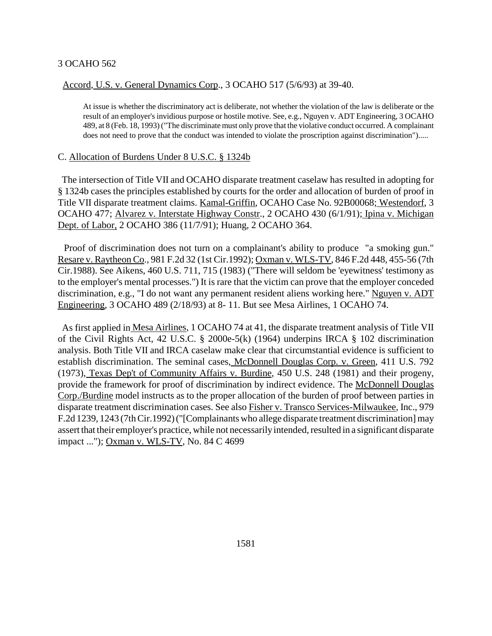# Accord, U.S. v. General Dynamics Corp., 3 OCAHO 517 (5/6/93) at 39-40.

At issue is whether the discriminatory act is deliberate, not whether the violation of the law is deliberate or the result of an employer's invidious purpose or hostile motive. See, e.g., Nguyen v. ADT Engineering, 3 OCAHO 489, at 8 (Feb. 18, 1993) ("The discriminate must only prove that the violative conduct occurred. A complainant does not need to prove that the conduct was intended to violate the proscription against discrimination").....

# C. Allocation of Burdens Under 8 U.S.C. § 1324b

 The intersection of Title VII and OCAHO disparate treatment caselaw has resulted in adopting for § 1324b cases the principles established by courts for the order and allocation of burden of proof in Title VII disparate treatment claims. Kamal-Griffin, OCAHO Case No. 92B00068; Westendorf, 3 OCAHO 477; Alvarez v. Interstate Highway Constr., 2 OCAHO 430 (6/1/91); Ipina v. Michigan Dept. of Labor, 2 OCAHO 386 (11/7/91); Huang, 2 OCAHO 364.

Proof of discrimination does not turn on a complainant's ability to produce "a smoking gun." Resare v. Raytheon Co., 981 F.2d 32 (1st Cir.1992); Oxman v. WLS-TV, 846 F.2d 448, 455-56 (7th Cir.1988). See Aikens, 460 U.S. 711, 715 (1983) ("There will seldom be 'eyewitness' testimony as to the employer's mental processes.") It is rare that the victim can prove that the employer conceded discrimination, e.g., "I do not want any permanent resident aliens working here." Nguyen v. ADT Engineering, 3 OCAHO 489 (2/18/93) at 8- 11. But see Mesa Airlines, 1 OCAHO 74.

 As first applied in Mesa Airlines, 1 OCAHO 74 at 41, the disparate treatment analysis of Title VII of the Civil Rights Act, 42 U.S.C. § 2000e-5(k) (1964) underpins IRCA § 102 discrimination analysis. Both Title VII and IRCA caselaw make clear that circumstantial evidence is sufficient to establish discrimination. The seminal cases, McDonnell Douglas Corp. v. Green, 411 U.S. 792 (1973), Texas Dep't of Community Affairs v. Burdine, 450 U.S. 248 (1981) and their progeny, provide the framework for proof of discrimination by indirect evidence. The McDonnell Douglas Corp./Burdine model instructs as to the proper allocation of the burden of proof between parties in disparate treatment discrimination cases. See also Fisher v. Transco Services-Milwaukee, Inc., 979 F.2d 1239, 1243 (7th Cir.1992) ("[Complainants who allege disparate treatment discrimination] may assert that their employer's practice, while not necessarily intended, resulted in a significant disparate impact ..."); Oxman v. WLS-TV, No. 84 C 4699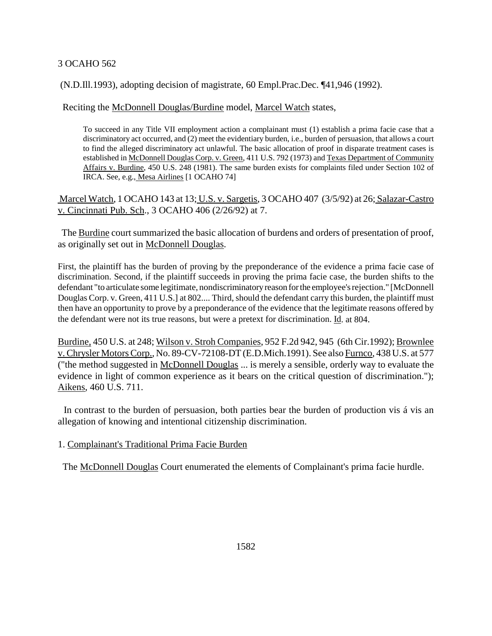# (N.D.Ill.1993), adopting decision of magistrate, 60 Empl.Prac.Dec. ¶41,946 (1992).

Reciting the McDonnell Douglas/Burdine model, Marcel Watch states,

To succeed in any Title VII employment action a complainant must (1) establish a prima facie case that a discriminatory act occurred, and (2) meet the evidentiary burden, i.e., burden of persuasion, that allows a court to find the alleged discriminatory act unlawful. The basic allocation of proof in disparate treatment cases is established in McDonnell Douglas Corp. v. Green, 411 U.S. 792 (1973) and Texas Department of Community Affairs v. Burdine, 450 U.S. 248 (1981). The same burden exists for complaints filed under Section 102 of IRCA. See, e.g., Mesa Airlines [1 OCAHO 74]

Marcel Watch, 1 OCAHO 143 at 13; U.S. v. Sargetis, 3 OCAHO 407 (3/5/92) at 26; Salazar-Castro v. Cincinnati Pub. Sch., 3 OCAHO 406 (2/26/92) at 7.

 The Burdine court summarized the basic allocation of burdens and orders of presentation of proof, as originally set out in McDonnell Douglas.

First, the plaintiff has the burden of proving by the preponderance of the evidence a prima facie case of discrimination. Second, if the plaintiff succeeds in proving the prima facie case, the burden shifts to the defendant "to articulate some legitimate, nondiscriminatory reason for the employee's rejection." [McDonnell Douglas Corp. v. Green, 411 U.S.] at 802.... Third, should the defendant carry this burden, the plaintiff must then have an opportunity to prove by a preponderance of the evidence that the legitimate reasons offered by the defendant were not its true reasons, but were a pretext for discrimination. Id. at 804.

Burdine, 450 U.S. at 248; Wilson v. Stroh Companies, 952 F.2d 942, 945 (6th Cir.1992); Brownlee v. Chrysler Motors Corp., No. 89-CV-72108-DT (E.D.Mich.1991). See also Furnco, 438 U.S. at 577 ("the method suggested in McDonnell Douglas ... is merely a sensible, orderly way to evaluate the evidence in light of common experience as it bears on the critical question of discrimination."); Aikens, 460 U.S. 711.

 In contrast to the burden of persuasion, both parties bear the burden of production vis á vis an allegation of knowing and intentional citizenship discrimination.

1. Complainant's Traditional Prima Facie Burden

The McDonnell Douglas Court enumerated the elements of Complainant's prima facie hurdle.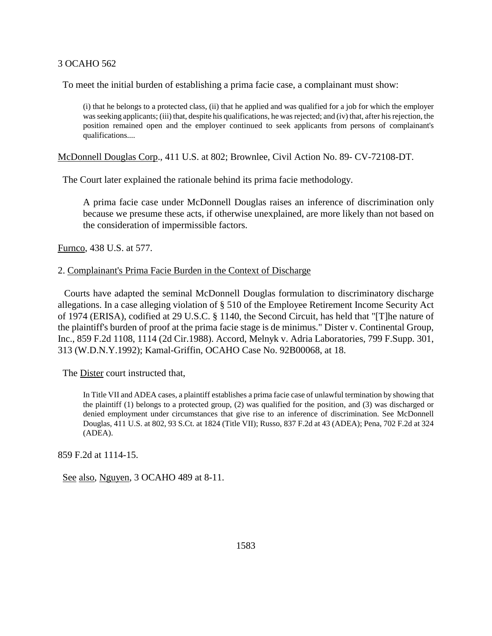To meet the initial burden of establishing a prima facie case, a complainant must show:

(i) that he belongs to a protected class, (ii) that he applied and was qualified for a job for which the employer was seeking applicants; (iii) that, despite his qualifications, he was rejected; and (iv) that, after his rejection, the position remained open and the employer continued to seek applicants from persons of complainant's qualifications....

McDonnell Douglas Corp., 411 U.S. at 802; Brownlee, Civil Action No. 89- CV-72108-DT.

The Court later explained the rationale behind its prima facie methodology.

A prima facie case under McDonnell Douglas raises an inference of discrimination only because we presume these acts, if otherwise unexplained, are more likely than not based on the consideration of impermissible factors.

Furnco, 438 U.S. at 577.

## 2. Complainant's Prima Facie Burden in the Context of Discharge

 Courts have adapted the seminal McDonnell Douglas formulation to discriminatory discharge allegations. In a case alleging violation of § 510 of the Employee Retirement Income Security Act of 1974 (ERISA), codified at 29 U.S.C. § 1140, the Second Circuit, has held that "[T]he nature of the plaintiff's burden of proof at the prima facie stage is de minimus." Dister v. Continental Group, Inc., 859 F.2d 1108, 1114 (2d Cir.1988). Accord, Melnyk v. Adria Laboratories, 799 F.Supp. 301, 313 (W.D.N.Y.1992); Kamal-Griffin, OCAHO Case No. 92B00068, at 18.

The Dister court instructed that,

In Title VII and ADEA cases, a plaintiff establishes a prima facie case of unlawful termination by showing that the plaintiff (1) belongs to a protected group, (2) was qualified for the position, and (3) was discharged or denied employment under circumstances that give rise to an inference of discrimination. See McDonnell Douglas, 411 U.S. at 802, 93 S.Ct. at 1824 (Title VII); Russo, 837 F.2d at 43 (ADEA); Pena, 702 F.2d at 324 (ADEA).

859 F.2d at 1114-15.

See also, Nguyen, 3 OCAHO 489 at 8-11.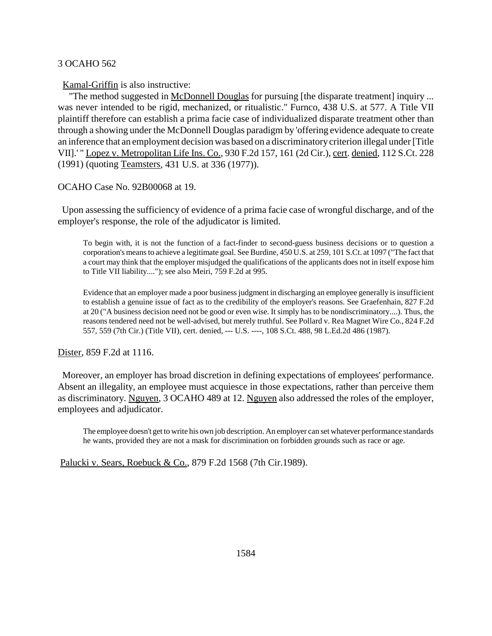Kamal-Griffin is also instructive:

"The method suggested in McDonnell Douglas for pursuing [the disparate treatment] inquiry ... was never intended to be rigid, mechanized, or ritualistic." Furnco, 438 U.S. at 577. A Title VII plaintiff therefore can establish a prima facie case of individualized disparate treatment other than through a showing under the McDonnell Douglas paradigm by 'offering evidence adequate to create an inference that an employment decision was based on a discriminatory criterion illegal under [Title VII].' " Lopez v. Metropolitan Life Ins. Co., 930 F.2d 157, 161 (2d Cir.), cert. denied, 112 S.Ct. 228 (1991) (quoting Teamsters, 431 U.S. at 336 (1977)).

OCAHO Case No. 92B00068 at 19.

 Upon assessing the sufficiency of evidence of a prima facie case of wrongful discharge, and of the employer's response, the role of the adjudicator is limited.

To begin with, it is not the function of a fact-finder to second-guess business decisions or to question a corporation's means to achieve a legitimate goal. See Burdine, 450 U.S. at 259, 101 S.Ct. at 1097 ("The fact that a court may think that the employer misjudged the qualifications of the applicants does not in itself expose him to Title VII liability...."); see also Meiri, 759 F.2d at 995.

Evidence that an employer made a poor business judgment in discharging an employee generally is insufficient to establish a genuine issue of fact as to the credibility of the employer's reasons. See Graefenhain, 827 F.2d at 20 ("A business decision need not be good or even wise. It simply has to be nondiscriminatory....). Thus, the reasons tendered need not be well-advised, but merely truthful. See Pollard v. Rea Magnet Wire Co., 824 F.2d 557, 559 (7th Cir.) (Title VII), cert. denied, --- U.S. ----, 108 S.Ct. 488, 98 L.Ed.2d 486 (1987).

Dister, 859 F.2d at 1116.

 Moreover, an employer has broad discretion in defining expectations of employees' performance. Absent an illegality, an employee must acquiesce in those expectations, rather than perceive them as discriminatory. Nguyen, 3 OCAHO 489 at 12. Nguyen also addressed the roles of the employer, employees and adjudicator.

The employee doesn't get to write his own job description. An employer can set whatever performance standards he wants, provided they are not a mask for discrimination on forbidden grounds such as race or age.

Palucki v. Sears, Roebuck & Co., 879 F.2d 1568 (7th Cir.1989).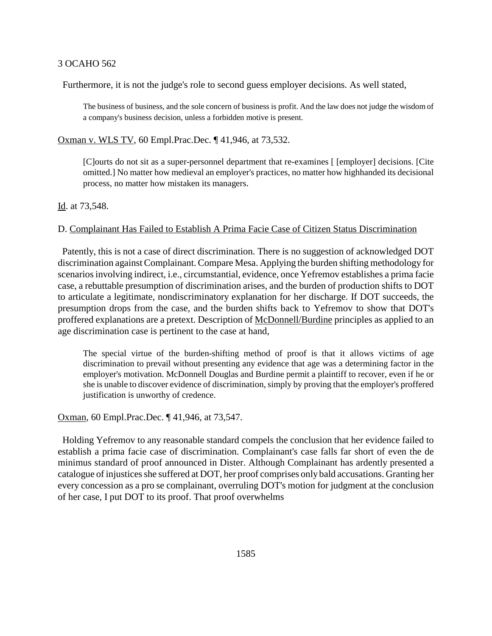Furthermore, it is not the judge's role to second guess employer decisions. As well stated,

The business of business, and the sole concern of business is profit. And the law does not judge the wisdom of a company's business decision, unless a forbidden motive is present.

Oxman v. WLS TV, 60 Empl.Prac.Dec. ¶ 41,946, at 73,532.

[C]ourts do not sit as a super-personnel department that re-examines [ [employer] decisions. [Cite omitted.] No matter how medieval an employer's practices, no matter how highhanded its decisional process, no matter how mistaken its managers.

Id. at 73,548.

# D. Complainant Has Failed to Establish A Prima Facie Case of Citizen Status Discrimination

 Patently, this is not a case of direct discrimination. There is no suggestion of acknowledged DOT discrimination against Complainant. Compare Mesa. Applying the burden shifting methodology for scenarios involving indirect, i.e., circumstantial, evidence, once Yefremov establishes a prima facie case, a rebuttable presumption of discrimination arises, and the burden of production shifts to DOT to articulate a legitimate, nondiscriminatory explanation for her discharge. If DOT succeeds, the presumption drops from the case, and the burden shifts back to Yefremov to show that DOT's proffered explanations are a pretext. Description of McDonnell/Burdine principles as applied to an age discrimination case is pertinent to the case at hand,

The special virtue of the burden-shifting method of proof is that it allows victims of age discrimination to prevail without presenting any evidence that age was a determining factor in the employer's motivation. McDonnell Douglas and Burdine permit a plaintiff to recover, even if he or she is unable to discover evidence of discrimination, simply by proving that the employer's proffered justification is unworthy of credence.

Oxman, 60 Empl.Prac.Dec. ¶ 41,946, at 73,547.

 Holding Yefremov to any reasonable standard compels the conclusion that her evidence failed to establish a prima facie case of discrimination. Complainant's case falls far short of even the de minimus standard of proof announced in Dister. Although Complainant has ardently presented a catalogue of injustices she suffered at DOT, her proof comprises only bald accusations. Granting her every concession as a pro se complainant, overruling DOT's motion for judgment at the conclusion of her case, I put DOT to its proof. That proof overwhelms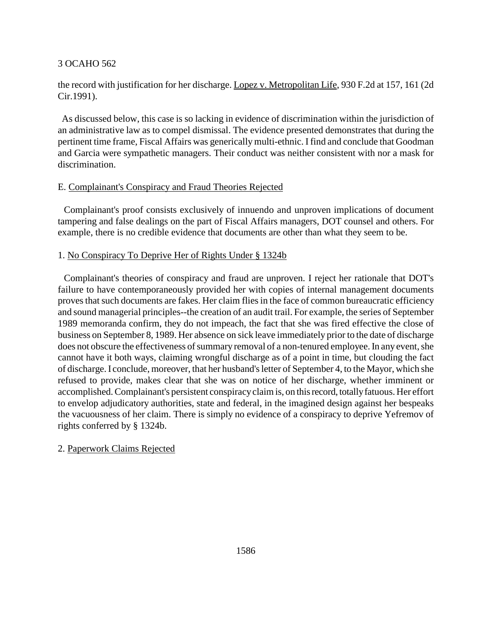# the record with justification for her discharge. Lopez v. Metropolitan Life, 930 F.2d at 157, 161 (2d Cir.1991).

 As discussed below, this case is so lacking in evidence of discrimination within the jurisdiction of an administrative law as to compel dismissal. The evidence presented demonstrates that during the pertinent time frame, Fiscal Affairs was generically multi-ethnic. I find and conclude that Goodman and Garcia were sympathetic managers. Their conduct was neither consistent with nor a mask for discrimination.

# E. Complainant's Conspiracy and Fraud Theories Rejected

 Complainant's proof consists exclusively of innuendo and unproven implications of document tampering and false dealings on the part of Fiscal Affairs managers, DOT counsel and others. For example, there is no credible evidence that documents are other than what they seem to be.

# 1. No Conspiracy To Deprive Her of Rights Under § 1324b

 Complainant's theories of conspiracy and fraud are unproven. I reject her rationale that DOT's failure to have contemporaneously provided her with copies of internal management documents proves that such documents are fakes. Her claim flies in the face of common bureaucratic efficiency and sound managerial principles--the creation of an audit trail. For example, the series of September 1989 memoranda confirm, they do not impeach, the fact that she was fired effective the close of business on September 8, 1989. Her absence on sick leave immediately prior to the date of discharge does not obscure the effectiveness of summary removal of a non-tenured employee. In any event, she cannot have it both ways, claiming wrongful discharge as of a point in time, but clouding the fact of discharge. I conclude, moreover, that her husband's letter of September 4, to the Mayor, which she refused to provide, makes clear that she was on notice of her discharge, whether imminent or accomplished. Complainant's persistent conspiracy claim is, on this record, totally fatuous. Her effort to envelop adjudicatory authorities, state and federal, in the imagined design against her bespeaks the vacuousness of her claim. There is simply no evidence of a conspiracy to deprive Yefremov of rights conferred by § 1324b.

# 2. Paperwork Claims Rejected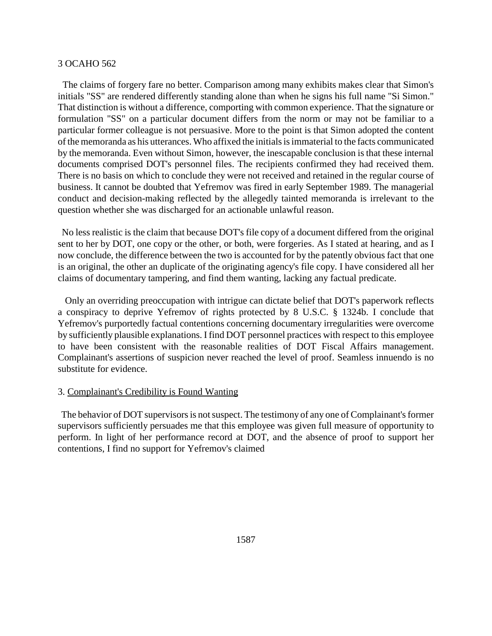The claims of forgery fare no better. Comparison among many exhibits makes clear that Simon's initials "SS" are rendered differently standing alone than when he signs his full name "Si Simon." That distinction is without a difference, comporting with common experience. That the signature or formulation "SS" on a particular document differs from the norm or may not be familiar to a particular former colleague is not persuasive. More to the point is that Simon adopted the content of the memoranda as his utterances. Who affixed the initials is immaterial to the facts communicated by the memoranda. Even without Simon, however, the inescapable conclusion is that these internal documents comprised DOT's personnel files. The recipients confirmed they had received them. There is no basis on which to conclude they were not received and retained in the regular course of business. It cannot be doubted that Yefremov was fired in early September 1989. The managerial conduct and decision-making reflected by the allegedly tainted memoranda is irrelevant to the question whether she was discharged for an actionable unlawful reason.

 No less realistic is the claim that because DOT's file copy of a document differed from the original sent to her by DOT, one copy or the other, or both, were forgeries. As I stated at hearing, and as I now conclude, the difference between the two is accounted for by the patently obvious fact that one is an original, the other an duplicate of the originating agency's file copy. I have considered all her claims of documentary tampering, and find them wanting, lacking any factual predicate.

 Only an overriding preoccupation with intrigue can dictate belief that DOT's paperwork reflects a conspiracy to deprive Yefremov of rights protected by 8 U.S.C. § 1324b. I conclude that Yefremov's purportedly factual contentions concerning documentary irregularities were overcome by sufficiently plausible explanations. I find DOT personnel practices with respect to this employee to have been consistent with the reasonable realities of DOT Fiscal Affairs management. Complainant's assertions of suspicion never reached the level of proof. Seamless innuendo is no substitute for evidence.

#### 3. Complainant's Credibility is Found Wanting

 The behavior of DOT supervisors is not suspect. The testimony of any one of Complainant's former supervisors sufficiently persuades me that this employee was given full measure of opportunity to perform. In light of her performance record at DOT, and the absence of proof to support her contentions, I find no support for Yefremov's claimed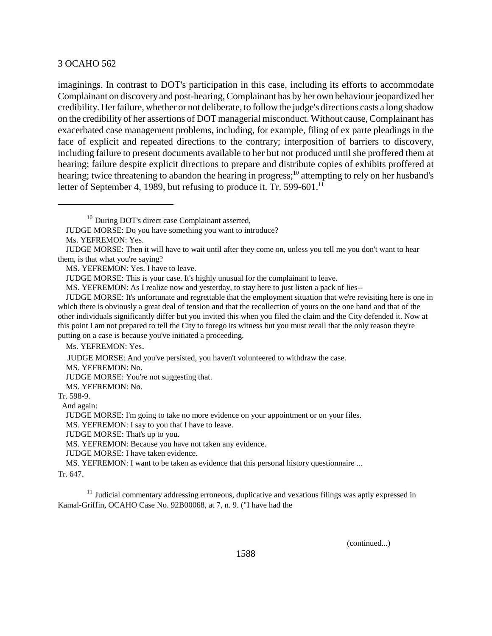imaginings. In contrast to DOT's participation in this case, including its efforts to accommodate Complainant on discovery and post-hearing, Complainant has by her own behaviour jeopardized her credibility. Her failure, whether or not deliberate, to follow the judge's directions casts a long shadow on the credibility of her assertions of DOT managerial misconduct. Without cause, Complainant has exacerbated case management problems, including, for example, filing of ex parte pleadings in the face of explicit and repeated directions to the contrary; interposition of barriers to discovery, including failure to present documents available to her but not produced until she proffered them at hearing; failure despite explicit directions to prepare and distribute copies of exhibits proffered at hearing; twice threatening to abandon the hearing in progress;<sup>10</sup> attempting to rely on her husband's letter of September 4, 1989, but refusing to produce it. Tr. 599-601.<sup>11</sup>

MS. YEFREMON: Yes. I have to leave.

MS. YEFREMON: As I realize now and yesterday, to stay here to just listen a pack of lies--

Ms. YEFREMON: Yes.

JUDGE MORSE: And you've persisted, you haven't volunteered to withdraw the case.

MS. YEFREMON: No.

JUDGE MORSE: You're not suggesting that.

MS. YEFREMON: No.

Tr. 598-9.

And again:

JUDGE MORSE: I'm going to take no more evidence on your appointment or on your files.

MS. YEFREMON: I say to you that I have to leave.

JUDGE MORSE: That's up to you.

MS. YEFREMON: Because you have not taken any evidence.

JUDGE MORSE: I have taken evidence.

MS. YEFREMON: I want to be taken as evidence that this personal history questionnaire ...

Tr. 647.

 $11$  Judicial commentary addressing erroneous, duplicative and vexatious filings was aptly expressed in Kamal-Griffin, OCAHO Case No. 92B00068, at 7, n. 9. ("I have had the

(continued...)

<sup>&</sup>lt;sup>10</sup> During DOT's direct case Complainant asserted,

JUDGE MORSE: Do you have something you want to introduce?

Ms. YEFREMON: Yes.

JUDGE MORSE: Then it will have to wait until after they come on, unless you tell me you don't want to hear them, is that what you're saying?

JUDGE MORSE: This is your case. It's highly unusual for the complainant to leave.

JUDGE MORSE: It's unfortunate and regrettable that the employment situation that we're revisiting here is one in which there is obviously a great deal of tension and that the recollection of yours on the one hand and that of the other individuals significantly differ but you invited this when you filed the claim and the City defended it. Now at this point I am not prepared to tell the City to forego its witness but you must recall that the only reason they're putting on a case is because you've initiated a proceeding.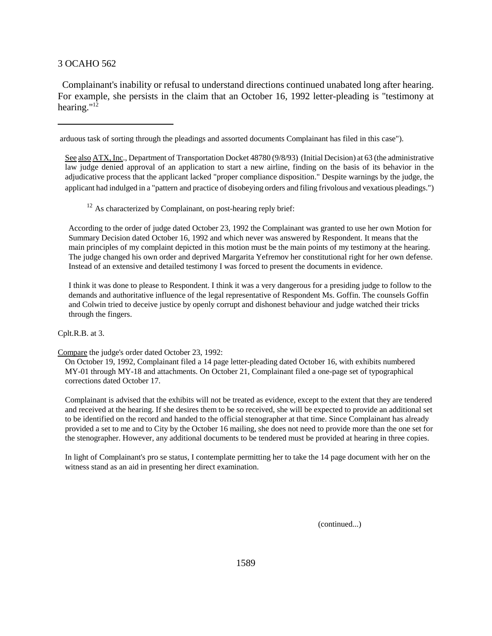Complainant's inability or refusal to understand directions continued unabated long after hearing. For example, she persists in the claim that an October 16, 1992 letter-pleading is "testimony at hearing."12

arduous task of sorting through the pleadings and assorted documents Complainant has filed in this case").

See also ATX, Inc., Department of Transportation Docket 48780 (9/8/93) (Initial Decision) at 63 (the administrative law judge denied approval of an application to start a new airline, finding on the basis of its behavior in the adjudicative process that the applicant lacked "proper compliance disposition." Despite warnings by the judge, the applicant had indulged in a "pattern and practice of disobeying orders and filing frivolous and vexatious pleadings.")

 $12$  As characterized by Complainant, on post-hearing reply brief:

According to the order of judge dated October 23, 1992 the Complainant was granted to use her own Motion for Summary Decision dated October 16, 1992 and which never was answered by Respondent. It means that the main principles of my complaint depicted in this motion must be the main points of my testimony at the hearing. The judge changed his own order and deprived Margarita Yefremov her constitutional right for her own defense. Instead of an extensive and detailed testimony I was forced to present the documents in evidence.

 I think it was done to please to Respondent. I think it was a very dangerous for a presiding judge to follow to the demands and authoritative influence of the legal representative of Respondent Ms. Goffin. The counsels Goffin and Colwin tried to deceive justice by openly corrupt and dishonest behaviour and judge watched their tricks through the fingers.

#### Cplt.R.B. at 3.

Compare the judge's order dated October 23, 1992:

On October 19, 1992, Complainant filed a 14 page letter-pleading dated October 16, with exhibits numbered MY-01 through MY-18 and attachments. On October 21, Complainant filed a one-page set of typographical corrections dated October 17.

Complainant is advised that the exhibits will not be treated as evidence, except to the extent that they are tendered and received at the hearing. If she desires them to be so received, she will be expected to provide an additional set to be identified on the record and handed to the official stenographer at that time. Since Complainant has already provided a set to me and to City by the October 16 mailing, she does not need to provide more than the one set for the stenographer. However, any additional documents to be tendered must be provided at hearing in three copies.

In light of Complainant's pro se status, I contemplate permitting her to take the 14 page document with her on the witness stand as an aid in presenting her direct examination.

(continued...)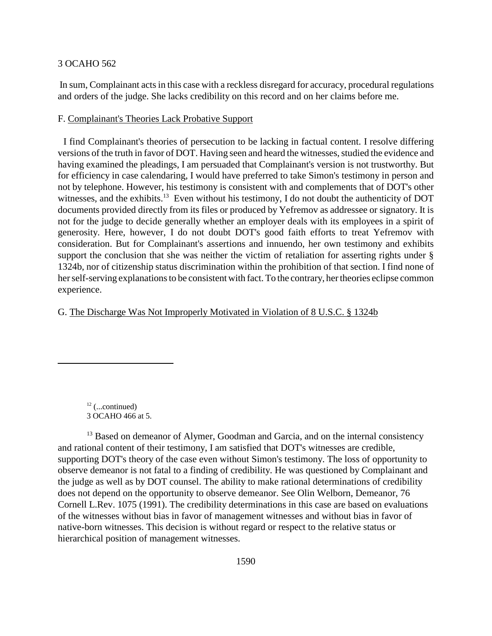In sum, Complainant acts in this case with a reckless disregard for accuracy, procedural regulations and orders of the judge. She lacks credibility on this record and on her claims before me.

### F. Complainant's Theories Lack Probative Support

 I find Complainant's theories of persecution to be lacking in factual content. I resolve differing versions of the truth in favor of DOT. Having seen and heard the witnesses, studied the evidence and having examined the pleadings, I am persuaded that Complainant's version is not trustworthy. But for efficiency in case calendaring, I would have preferred to take Simon's testimony in person and not by telephone. However, his testimony is consistent with and complements that of DOT's other witnesses, and the exhibits.<sup>13</sup> Even without his testimony, I do not doubt the authenticity of DOT documents provided directly from its files or produced by Yefremov as addressee or signatory. It is not for the judge to decide generally whether an employer deals with its employees in a spirit of generosity. Here, however, I do not doubt DOT's good faith efforts to treat Yefremov with consideration. But for Complainant's assertions and innuendo, her own testimony and exhibits support the conclusion that she was neither the victim of retaliation for asserting rights under § 1324b, nor of citizenship status discrimination within the prohibition of that section. I find none of her self-serving explanations to be consistent with fact. To the contrary, her theories eclipse common experience.

# G. The Discharge Was Not Improperly Motivated in Violation of 8 U.S.C. § 1324b

<sup>13</sup> Based on demeanor of Alymer, Goodman and Garcia, and on the internal consistency and rational content of their testimony, I am satisfied that DOT's witnesses are credible, supporting DOT's theory of the case even without Simon's testimony. The loss of opportunity to observe demeanor is not fatal to a finding of credibility. He was questioned by Complainant and the judge as well as by DOT counsel. The ability to make rational determinations of credibility does not depend on the opportunity to observe demeanor. See Olin Welborn, Demeanor, 76 Cornell L.Rev. 1075 (1991). The credibility determinations in this case are based on evaluations of the witnesses without bias in favor of management witnesses and without bias in favor of native-born witnesses. This decision is without regard or respect to the relative status or hierarchical position of management witnesses.

 $12$  (...continued) 3 OCAHO 466 at 5.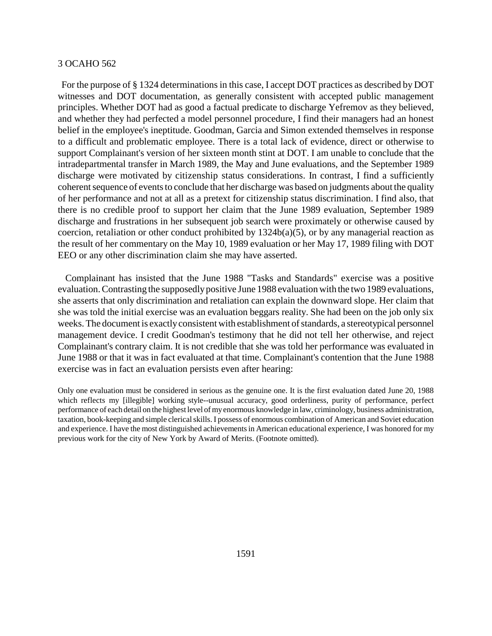For the purpose of § 1324 determinations in this case, I accept DOT practices as described by DOT witnesses and DOT documentation, as generally consistent with accepted public management principles. Whether DOT had as good a factual predicate to discharge Yefremov as they believed, and whether they had perfected a model personnel procedure, I find their managers had an honest belief in the employee's ineptitude. Goodman, Garcia and Simon extended themselves in response to a difficult and problematic employee. There is a total lack of evidence, direct or otherwise to support Complainant's version of her sixteen month stint at DOT. I am unable to conclude that the intradepartmental transfer in March 1989, the May and June evaluations, and the September 1989 discharge were motivated by citizenship status considerations. In contrast, I find a sufficiently coherent sequence of events to conclude that her discharge was based on judgments about the quality of her performance and not at all as a pretext for citizenship status discrimination. I find also, that there is no credible proof to support her claim that the June 1989 evaluation, September 1989 discharge and frustrations in her subsequent job search were proximately or otherwise caused by coercion, retaliation or other conduct prohibited by  $1324b(a)(5)$ , or by any managerial reaction as the result of her commentary on the May 10, 1989 evaluation or her May 17, 1989 filing with DOT EEO or any other discrimination claim she may have asserted.

 Complainant has insisted that the June 1988 "Tasks and Standards" exercise was a positive evaluation. Contrasting the supposedly positive June 1988 evaluation with the two 1989 evaluations, she asserts that only discrimination and retaliation can explain the downward slope. Her claim that she was told the initial exercise was an evaluation beggars reality. She had been on the job only six weeks. The document is exactly consistent with establishment of standards, a stereotypical personnel management device. I credit Goodman's testimony that he did not tell her otherwise, and reject Complainant's contrary claim. It is not credible that she was told her performance was evaluated in June 1988 or that it was in fact evaluated at that time. Complainant's contention that the June 1988 exercise was in fact an evaluation persists even after hearing:

Only one evaluation must be considered in serious as the genuine one. It is the first evaluation dated June 20, 1988 which reflects my [illegible] working style--unusual accuracy, good orderliness, purity of performance, perfect performance of each detail on the highest level of my enormous knowledge in law, criminology, business administration, taxation, book-keeping and simple clerical skills. I possess of enormous combination of American and Soviet education and experience. I have the most distinguished achievements in American educational experience, I was honored for my previous work for the city of New York by Award of Merits. (Footnote omitted).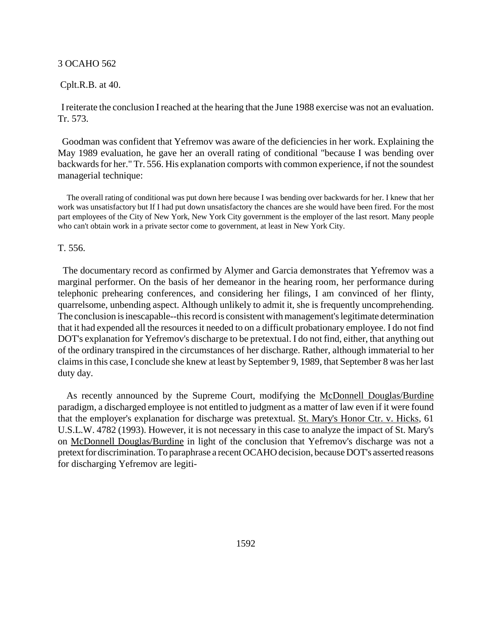# Cplt.R.B. at 40.

 I reiterate the conclusion I reached at the hearing that the June 1988 exercise was not an evaluation. Tr. 573.

 Goodman was confident that Yefremov was aware of the deficiencies in her work. Explaining the May 1989 evaluation, he gave her an overall rating of conditional "because I was bending over backwards for her." Tr. 556. His explanation comports with common experience, if not the soundest managerial technique:

 The overall rating of conditional was put down here because I was bending over backwards for her. I knew that her work was unsatisfactory but If I had put down unsatisfactory the chances are she would have been fired. For the most part employees of the City of New York, New York City government is the employer of the last resort. Many people who can't obtain work in a private sector come to government, at least in New York City.

T. 556.

 The documentary record as confirmed by Alymer and Garcia demonstrates that Yefremov was a marginal performer. On the basis of her demeanor in the hearing room, her performance during telephonic prehearing conferences, and considering her filings, I am convinced of her flinty, quarrelsome, unbending aspect. Although unlikely to admit it, she is frequently uncomprehending. The conclusion is inescapable--this record is consistent with management's legitimate determination that it had expended all the resources it needed to on a difficult probationary employee. I do not find DOT's explanation for Yefremov's discharge to be pretextual. I do not find, either, that anything out of the ordinary transpired in the circumstances of her discharge. Rather, although immaterial to her claims in this case, I conclude she knew at least by September 9, 1989, that September 8 was her last duty day.

 As recently announced by the Supreme Court, modifying the McDonnell Douglas/Burdine paradigm, a discharged employee is not entitled to judgment as a matter of law even if it were found that the employer's explanation for discharge was pretextual. St. Mary's Honor Ctr. v. Hicks, 61 U.S.L.W. 4782 (1993). However, it is not necessary in this case to analyze the impact of St. Mary's on McDonnell Douglas/Burdine in light of the conclusion that Yefremov's discharge was not a pretext for discrimination. To paraphrase a recent OCAHO decision, because DOT's asserted reasons for discharging Yefremov are legiti-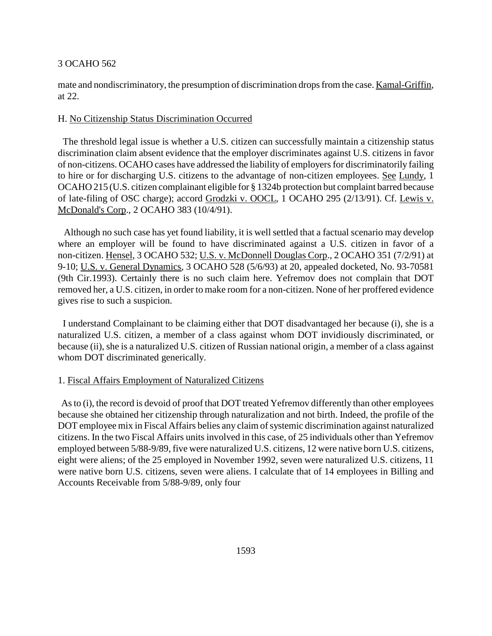mate and nondiscriminatory, the presumption of discrimination drops from the case. Kamal-Griffin, at 22.

## H. No Citizenship Status Discrimination Occurred

 The threshold legal issue is whether a U.S. citizen can successfully maintain a citizenship status discrimination claim absent evidence that the employer discriminates against U.S. citizens in favor of non-citizens. OCAHO cases have addressed the liability of employers for discriminatorily failing to hire or for discharging U.S. citizens to the advantage of non-citizen employees. See Lundy, 1 OCAHO 215 (U.S. citizen complainant eligible for § 1324b protection but complaint barred because of late-filing of OSC charge); accord Grodzki v. OOCL, 1 OCAHO 295 (2/13/91). Cf. Lewis v. McDonald's Corp., 2 OCAHO 383 (10/4/91).

 Although no such case has yet found liability, it is well settled that a factual scenario may develop where an employer will be found to have discriminated against a U.S. citizen in favor of a non-citizen. Hensel, 3 OCAHO 532; U.S. v. McDonnell Douglas Corp., 2 OCAHO 351 (7/2/91) at 9-10; U.S. v. General Dynamics, 3 OCAHO 528 (5/6/93) at 20, appealed docketed, No. 93-70581 (9th Cir.1993). Certainly there is no such claim here. Yefremov does not complain that DOT removed her, a U.S. citizen, in order to make room for a non-citizen. None of her proffered evidence gives rise to such a suspicion.

 I understand Complainant to be claiming either that DOT disadvantaged her because (i), she is a naturalized U.S. citizen, a member of a class against whom DOT invidiously discriminated, or because (ii), she is a naturalized U.S. citizen of Russian national origin, a member of a class against whom DOT discriminated generically.

### 1. Fiscal Affairs Employment of Naturalized Citizens

 As to (i), the record is devoid of proof that DOT treated Yefremov differently than other employees because she obtained her citizenship through naturalization and not birth. Indeed, the profile of the DOT employee mix in Fiscal Affairs belies any claim of systemic discrimination against naturalized citizens. In the two Fiscal Affairs units involved in this case, of 25 individuals other than Yefremov employed between 5/88-9/89, five were naturalized U.S. citizens, 12 were native born U.S. citizens, eight were aliens; of the 25 employed in November 1992, seven were naturalized U.S. citizens, 11 were native born U.S. citizens, seven were aliens. I calculate that of 14 employees in Billing and Accounts Receivable from 5/88-9/89, only four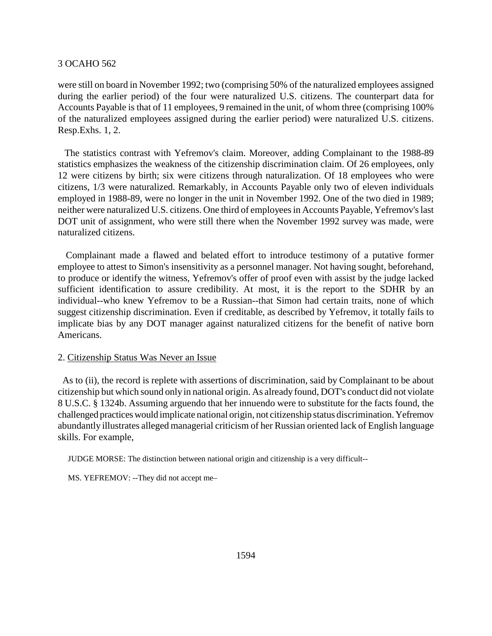were still on board in November 1992; two (comprising 50% of the naturalized employees assigned during the earlier period) of the four were naturalized U.S. citizens. The counterpart data for Accounts Payable is that of 11 employees, 9 remained in the unit, of whom three (comprising 100% of the naturalized employees assigned during the earlier period) were naturalized U.S. citizens. Resp.Exhs. 1, 2.

 The statistics contrast with Yefremov's claim. Moreover, adding Complainant to the 1988-89 statistics emphasizes the weakness of the citizenship discrimination claim. Of 26 employees, only 12 were citizens by birth; six were citizens through naturalization. Of 18 employees who were citizens, 1/3 were naturalized. Remarkably, in Accounts Payable only two of eleven individuals employed in 1988-89, were no longer in the unit in November 1992. One of the two died in 1989; neither were naturalized U.S. citizens. One third of employees in Accounts Payable, Yefremov's last DOT unit of assignment, who were still there when the November 1992 survey was made, were naturalized citizens.

 Complainant made a flawed and belated effort to introduce testimony of a putative former employee to attest to Simon's insensitivity as a personnel manager. Not having sought, beforehand, to produce or identify the witness, Yefremov's offer of proof even with assist by the judge lacked sufficient identification to assure credibility. At most, it is the report to the SDHR by an individual--who knew Yefremov to be a Russian--that Simon had certain traits, none of which suggest citizenship discrimination. Even if creditable, as described by Yefremov, it totally fails to implicate bias by any DOT manager against naturalized citizens for the benefit of native born Americans.

# 2. Citizenship Status Was Never an Issue

 As to (ii), the record is replete with assertions of discrimination, said by Complainant to be about citizenship but which sound only in national origin. As already found, DOT's conduct did not violate 8 U.S.C. § 1324b. Assuming arguendo that her innuendo were to substitute for the facts found, the challenged practices would implicate national origin, not citizenship status discrimination. Yefremov abundantly illustrates alleged managerial criticism of her Russian oriented lack of English language skills. For example,

JUDGE MORSE: The distinction between national origin and citizenship is a very difficult--

MS. YEFREMOV: --They did not accept me–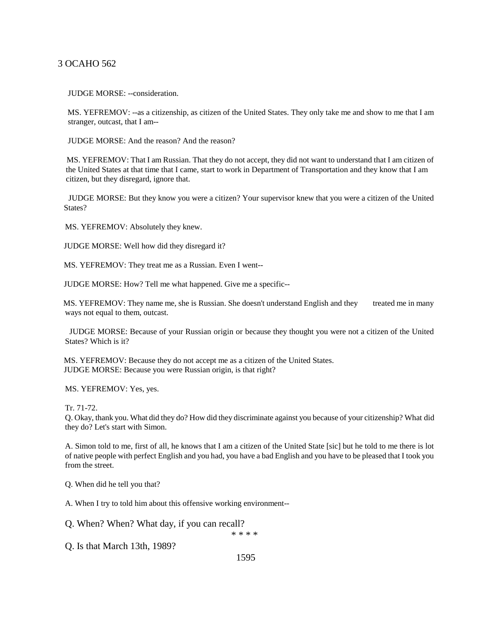JUDGE MORSE: --consideration.

 MS. YEFREMOV: --as a citizenship, as citizen of the United States. They only take me and show to me that I am stranger, outcast, that I am--

JUDGE MORSE: And the reason? And the reason?

 MS. YEFREMOV: That I am Russian. That they do not accept, they did not want to understand that I am citizen of the United States at that time that I came, start to work in Department of Transportation and they know that I am citizen, but they disregard, ignore that.

 JUDGE MORSE: But they know you were a citizen? Your supervisor knew that you were a citizen of the United States?

MS. YEFREMOV: Absolutely they knew.

JUDGE MORSE: Well how did they disregard it?

MS. YEFREMOV: They treat me as a Russian. Even I went--

JUDGE MORSE: How? Tell me what happened. Give me a specific--

MS. YEFREMOV: They name me, she is Russian. She doesn't understand English and they treated me in many ways not equal to them, outcast.

 JUDGE MORSE: Because of your Russian origin or because they thought you were not a citizen of the United States? Which is it?

 MS. YEFREMOV: Because they do not accept me as a citizen of the United States. JUDGE MORSE: Because you were Russian origin, is that right?

MS. YEFREMOV: Yes, yes.

Tr. 71-72.

 Q. Okay, thank you. What did they do? How did they discriminate against you because of your citizenship? What did they do? Let's start with Simon.

A. Simon told to me, first of all, he knows that I am a citizen of the United State [sic] but he told to me there is lot of native people with perfect English and you had, you have a bad English and you have to be pleased that I took you from the street.

Q. When did he tell you that?

A. When I try to told him about this offensive working environment--

Q. When? When? What day, if you can recall?

\* \* \* \*

Q. Is that March 13th, 1989?

1595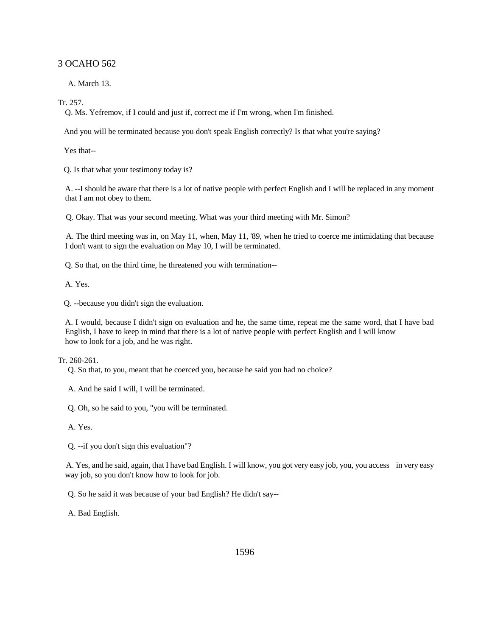A. March 13.

Tr. 257.

Q. Ms. Yefremov, if I could and just if, correct me if I'm wrong, when I'm finished.

And you will be terminated because you don't speak English correctly? Is that what you're saying?

Yes that--

Q. Is that what your testimony today is?

A. --I should be aware that there is a lot of native people with perfect English and I will be replaced in any moment that I am not obey to them.

Q. Okay. That was your second meeting. What was your third meeting with Mr. Simon?

 A. The third meeting was in, on May 11, when, May 11, '89, when he tried to coerce me intimidating that because I don't want to sign the evaluation on May 10, I will be terminated.

Q. So that, on the third time, he threatened you with termination--

A. Yes.

Q. --because you didn't sign the evaluation.

A. I would, because I didn't sign on evaluation and he, the same time, repeat me the same word, that I have bad English, I have to keep in mind that there is a lot of native people with perfect English and I will know how to look for a job, and he was right.

Tr. 260-261.

Q. So that, to you, meant that he coerced you, because he said you had no choice?

A. And he said I will, I will be terminated.

Q. Oh, so he said to you, "you will be terminated.

A. Yes.

Q. --if you don't sign this evaluation"?

 A. Yes, and he said, again, that I have bad English. I will know, you got very easy job, you, you access in very easy way job, so you don't know how to look for job.

Q. So he said it was because of your bad English? He didn't say--

A. Bad English.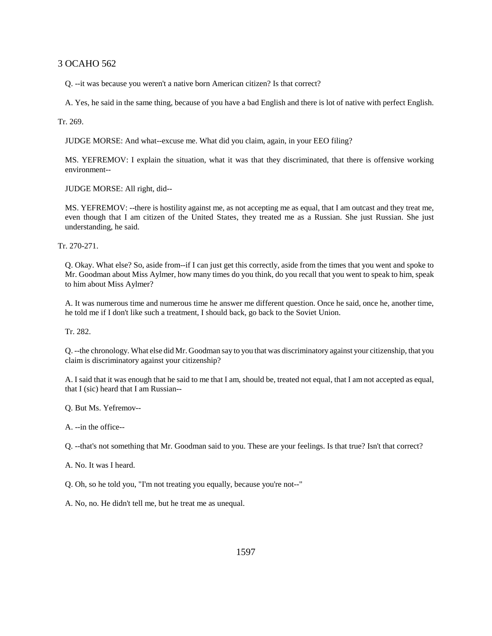Q. --it was because you weren't a native born American citizen? Is that correct?

A. Yes, he said in the same thing, because of you have a bad English and there is lot of native with perfect English.

## Tr. 269.

JUDGE MORSE: And what--excuse me. What did you claim, again, in your EEO filing?

MS. YEFREMOV: I explain the situation, what it was that they discriminated, that there is offensive working environment--

JUDGE MORSE: All right, did--

MS. YEFREMOV: --there is hostility against me, as not accepting me as equal, that I am outcast and they treat me, even though that I am citizen of the United States, they treated me as a Russian. She just Russian. She just understanding, he said.

Tr. 270-271.

Q. Okay. What else? So, aside from--if I can just get this correctly, aside from the times that you went and spoke to Mr. Goodman about Miss Aylmer, how many times do you think, do you recall that you went to speak to him, speak to him about Miss Aylmer?

A. It was numerous time and numerous time he answer me different question. Once he said, once he, another time, he told me if I don't like such a treatment, I should back, go back to the Soviet Union.

Tr. 282.

Q. --the chronology. What else did Mr. Goodman say to you that was discriminatory against your citizenship, that you claim is discriminatory against your citizenship?

A. I said that it was enough that he said to me that I am, should be, treated not equal, that I am not accepted as equal, that I (sic) heard that I am Russian--

Q. But Ms. Yefremov--

A. --in the office--

Q. --that's not something that Mr. Goodman said to you. These are your feelings. Is that true? Isn't that correct?

A. No. It was I heard.

Q. Oh, so he told you, "I'm not treating you equally, because you're not--"

A. No, no. He didn't tell me, but he treat me as unequal.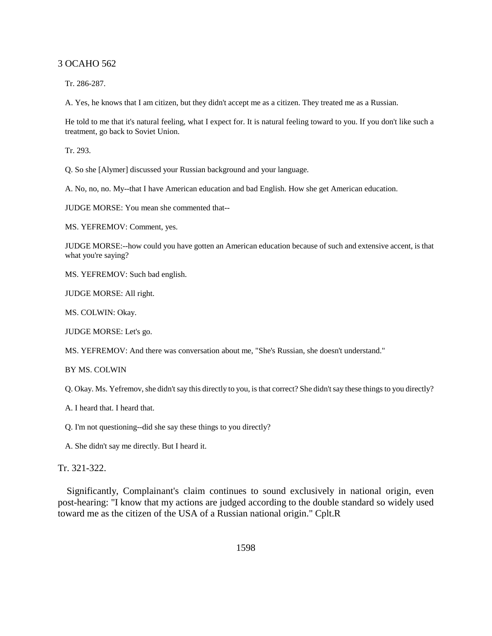Tr. 286-287.

A. Yes, he knows that I am citizen, but they didn't accept me as a citizen. They treated me as a Russian.

He told to me that it's natural feeling, what I expect for. It is natural feeling toward to you. If you don't like such a treatment, go back to Soviet Union.

Tr. 293.

Q. So she [Alymer] discussed your Russian background and your language.

A. No, no, no. My--that I have American education and bad English. How she get American education.

JUDGE MORSE: You mean she commented that--

MS. YEFREMOV: Comment, yes.

JUDGE MORSE:--how could you have gotten an American education because of such and extensive accent, is that what you're saying?

MS. YEFREMOV: Such bad english.

JUDGE MORSE: All right.

MS. COLWIN: Okay.

JUDGE MORSE: Let's go.

MS. YEFREMOV: And there was conversation about me, "She's Russian, she doesn't understand."

BY MS. COLWIN

Q. Okay. Ms. Yefremov, she didn't say this directly to you, is that correct? She didn't say these things to you directly?

A. I heard that. I heard that.

Q. I'm not questioning--did she say these things to you directly?

A. She didn't say me directly. But I heard it.

Tr. 321-322.

 Significantly, Complainant's claim continues to sound exclusively in national origin, even post-hearing: "I know that my actions are judged according to the double standard so widely used toward me as the citizen of the USA of a Russian national origin." Cplt.R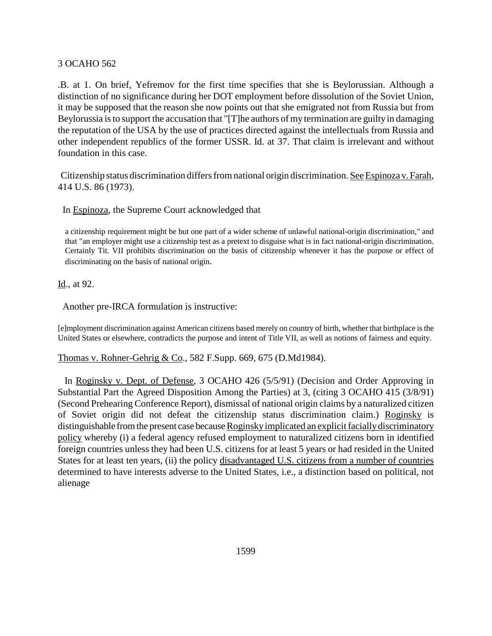.B. at 1. On brief, Yefremov for the first time specifies that she is Beylorussian. Although a distinction of no significance during her DOT employment before dissolution of the Soviet Union, it may be supposed that the reason she now points out that she emigrated not from Russia but from Beylorussia is to support the accusation that "[T]he authors of my termination are guilty in damaging the reputation of the USA by the use of practices directed against the intellectuals from Russia and other independent republics of the former USSR. Id. at 37. That claim is irrelevant and without foundation in this case.

 Citizenship status discrimination differs from national origin discrimination. See Espinoza v. Farah, 414 U.S. 86 (1973).

In Espinoza, the Supreme Court acknowledged that

a citizenship requirement might be but one part of a wider scheme of unlawful national-origin discrimination," and that "an employer might use a citizenship test as a pretext to disguise what is in fact national-origin discrimination. Certainly Tit. VII prohibits discrimination on the basis of citizenship whenever it has the purpose or effect of discriminating on the basis of national origin.

Id., at 92.

Another pre-IRCA formulation is instructive:

[e]mployment discrimination against American citizens based merely on country of birth, whether that birthplace is the United States or elsewhere, contradicts the purpose and intent of Title VII, as well as notions of fairness and equity.

# Thomas v. Rohner-Gehrig & Co., 582 F.Supp. 669, 675 (D.Md1984).

In Roginsky v. Dept. of Defense, 3 OCAHO 426 (5/5/91) (Decision and Order Approving in Substantial Part the Agreed Disposition Among the Parties) at 3, (citing 3 OCAHO 415 (3/8/91) (Second Prehearing Conference Report), dismissal of national origin claims by a naturalized citizen of Soviet origin did not defeat the citizenship status discrimination claim.) Roginsky is distinguishable from the present case because Roginsky implicated an explicit facially discriminatory policy whereby (i) a federal agency refused employment to naturalized citizens born in identified foreign countries unless they had been U.S. citizens for at least 5 years or had resided in the United States for at least ten years, (ii) the policy disadvantaged U.S. citizens from a number of countries determined to have interests adverse to the United States, i.e., a distinction based on political, not alienage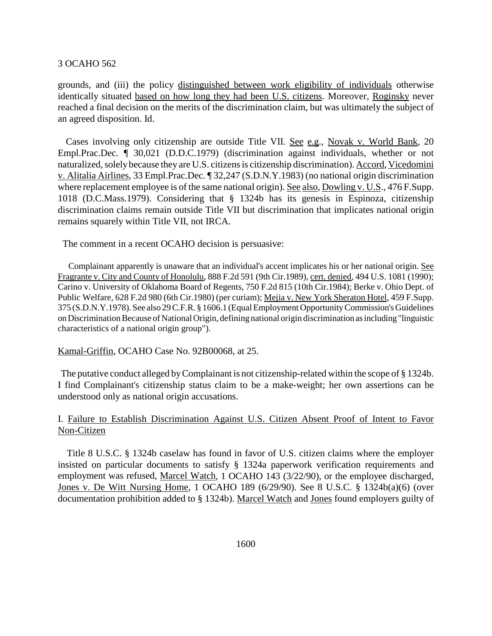grounds, and (iii) the policy distinguished between work eligibility of individuals otherwise identically situated based on how long they had been U.S. citizens. Moreover, Roginsky never reached a final decision on the merits of the discrimination claim, but was ultimately the subject of an agreed disposition. Id.

 Cases involving only citizenship are outside Title VII. See e.g., Novak v. World Bank, 20 Empl.Prac.Dec. ¶ 30,021 (D.D.C.1979) (discrimination against individuals, whether or not naturalized, solely because they are U.S. citizens is citizenship discrimination). Accord, Vicedomini v. Alitalia Airlines, 33 Empl.Prac.Dec. ¶ 32,247 (S.D.N.Y.1983) (no national origin discrimination where replacement employee is of the same national origin). See also, Dowling v. U.S., 476 F.Supp. 1018 (D.C.Mass.1979). Considering that § 1324b has its genesis in Espinoza, citizenship discrimination claims remain outside Title VII but discrimination that implicates national origin remains squarely within Title VII, not IRCA.

The comment in a recent OCAHO decision is persuasive:

 Complainant apparently is unaware that an individual's accent implicates his or her national origin. See Fragrante v. City and County of Honolulu, 888 F.2d 591 (9th Cir.1989), cert. denied, 494 U.S. 1081 (1990); Carino v. University of Oklahoma Board of Regents, 750 F.2d 815 (10th Cir.1984); Berke v. Ohio Dept. of Public Welfare, 628 F.2d 980 (6th Cir.1980) (per curiam); Mejia v. New York Sheraton Hotel, 459 F.Supp. 375 (S.D.N.Y.1978). See also 29 C.F.R. § 1606.1 (Equal Employment Opportunity Commission's Guidelines on Discrimination Because of National Origin, defining national origin discrimination as including "linguistic characteristics of a national origin group").

Kamal-Griffin, OCAHO Case No. 92B00068, at 25.

 The putative conduct alleged by Complainant is not citizenship-related within the scope of § 1324b. I find Complainant's citizenship status claim to be a make-weight; her own assertions can be understood only as national origin accusations.

# I. Failure to Establish Discrimination Against U.S. Citizen Absent Proof of Intent to Favor Non-Citizen

 Title 8 U.S.C. § 1324b caselaw has found in favor of U.S. citizen claims where the employer insisted on particular documents to satisfy § 1324a paperwork verification requirements and employment was refused, Marcel Watch, 1 OCAHO 143 (3/22/90), or the employee discharged, Jones v. De Witt Nursing Home, 1 OCAHO 189 (6/29/90). See 8 U.S.C. § 1324b(a)(6) (over documentation prohibition added to § 1324b). Marcel Watch and Jones found employers guilty of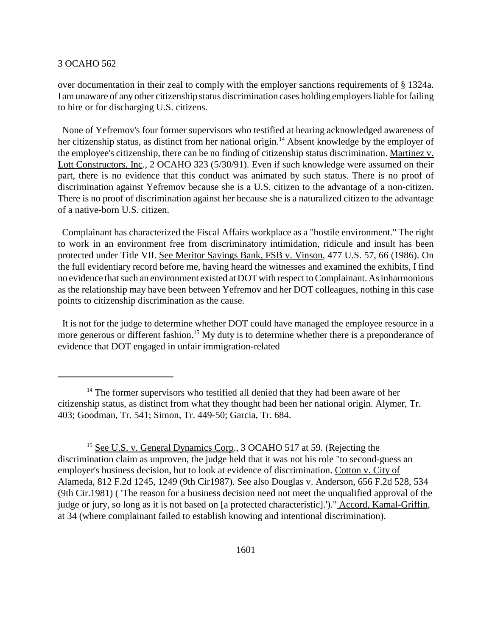over documentation in their zeal to comply with the employer sanctions requirements of § 1324a. I am unaware of any other citizenship status discrimination cases holding employers liable for failing to hire or for discharging U.S. citizens.

 None of Yefremov's four former supervisors who testified at hearing acknowledged awareness of her citizenship status, as distinct from her national origin.<sup>14</sup> Absent knowledge by the employer of the employee's citizenship, there can be no finding of citizenship status discrimination. Martinez v. Lott Constructors, Inc., 2 OCAHO 323 (5/30/91). Even if such knowledge were assumed on their part, there is no evidence that this conduct was animated by such status. There is no proof of discrimination against Yefremov because she is a U.S. citizen to the advantage of a non-citizen. There is no proof of discrimination against her because she is a naturalized citizen to the advantage of a native-born U.S. citizen.

 Complainant has characterized the Fiscal Affairs workplace as a "hostile environment." The right to work in an environment free from discriminatory intimidation, ridicule and insult has been protected under Title VII. See Meritor Savings Bank, FSB v. Vinson, 477 U.S. 57, 66 (1986). On the full evidentiary record before me, having heard the witnesses and examined the exhibits, I find no evidence that such an environment existed at DOT with respect to Complainant. As inharmonious as the relationship may have been between Yefremov and her DOT colleagues, nothing in this case points to citizenship discrimination as the cause.

 It is not for the judge to determine whether DOT could have managed the employee resource in a more generous or different fashion.<sup>15</sup> My duty is to determine whether there is a preponderance of evidence that DOT engaged in unfair immigration-related

<sup>&</sup>lt;sup>14</sup> The former supervisors who testified all denied that they had been aware of her citizenship status, as distinct from what they thought had been her national origin. Alymer, Tr. 403; Goodman, Tr. 541; Simon, Tr. 449-50; Garcia, Tr. 684.

<sup>&</sup>lt;sup>15</sup> See U.S. v. General Dynamics Corp., 3 OCAHO 517 at 59. (Rejecting the discrimination claim as unproven, the judge held that it was not his role "to second-guess an employer's business decision, but to look at evidence of discrimination. Cotton v. City of Alameda, 812 F.2d 1245, 1249 (9th Cir1987). See also Douglas v. Anderson, 656 F.2d 528, 534 (9th Cir.1981) ( 'The reason for a business decision need not meet the unqualified approval of the judge or jury, so long as it is not based on [a protected characteristic].')." Accord, Kamal-Griffin, at 34 (where complainant failed to establish knowing and intentional discrimination).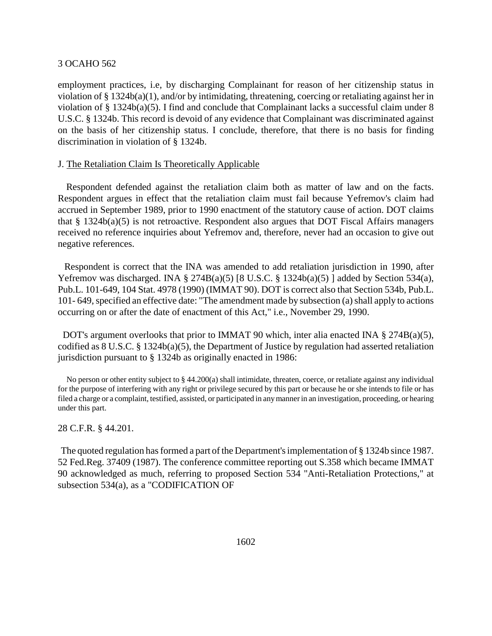employment practices, i.e, by discharging Complainant for reason of her citizenship status in violation of § 1324b(a)(1), and/or by intimidating, threatening, coercing or retaliating against her in violation of § 1324b(a)(5). I find and conclude that Complainant lacks a successful claim under 8 U.S.C. § 1324b. This record is devoid of any evidence that Complainant was discriminated against on the basis of her citizenship status. I conclude, therefore, that there is no basis for finding discrimination in violation of § 1324b.

# J. The Retaliation Claim Is Theoretically Applicable

 Respondent defended against the retaliation claim both as matter of law and on the facts. Respondent argues in effect that the retaliation claim must fail because Yefremov's claim had accrued in September 1989, prior to 1990 enactment of the statutory cause of action. DOT claims that § 1324b(a)(5) is not retroactive. Respondent also argues that DOT Fiscal Affairs managers received no reference inquiries about Yefremov and, therefore, never had an occasion to give out negative references.

 Respondent is correct that the INA was amended to add retaliation jurisdiction in 1990, after Yefremov was discharged. INA § 274B(a)(5) [8 U.S.C. § 1324b(a)(5)] added by Section 534(a), Pub.L. 101-649, 104 Stat. 4978 (1990) (IMMAT 90). DOT is correct also that Section 534b, Pub.L. 101- 649, specified an effective date: "The amendment made by subsection (a) shall apply to actions occurring on or after the date of enactment of this Act," i.e., November 29, 1990.

DOT's argument overlooks that prior to IMMAT 90 which, inter alia enacted INA  $\S 274B(a)(5)$ , codified as 8 U.S.C. § 1324b(a)(5), the Department of Justice by regulation had asserted retaliation jurisdiction pursuant to § 1324b as originally enacted in 1986:

No person or other entity subject to  $\S 44.200(a)$  shall intimidate, threaten, coerce, or retaliate against any individual for the purpose of interfering with any right or privilege secured by this part or because he or she intends to file or has filed a charge or a complaint, testified, assisted, or participated in any manner in an investigation, proceeding, or hearing under this part.

28 C.F.R. § 44.201.

 The quoted regulation has formed a part of the Department's implementation of § 1324b since 1987. 52 Fed.Reg. 37409 (1987). The conference committee reporting out S.358 which became IMMAT 90 acknowledged as much, referring to proposed Section 534 "Anti-Retaliation Protections," at subsection 534(a), as a "CODIFICATION OF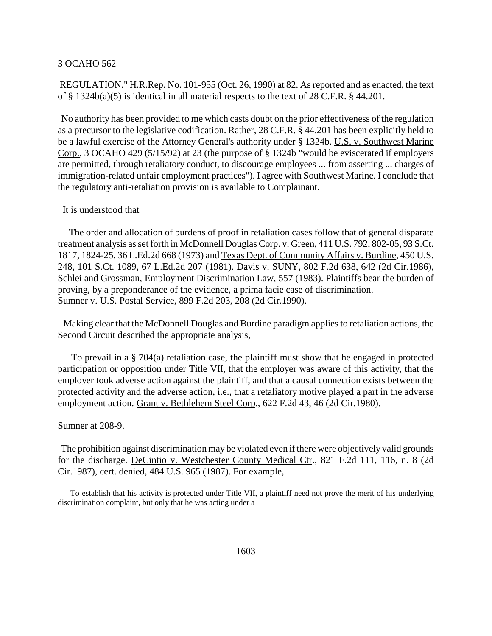REGULATION." H.R.Rep. No. 101-955 (Oct. 26, 1990) at 82. As reported and as enacted, the text of § 1324b(a)(5) is identical in all material respects to the text of 28 C.F.R. § 44.201.

 No authority has been provided to me which casts doubt on the prior effectiveness of the regulation as a precursor to the legislative codification. Rather, 28 C.F.R. § 44.201 has been explicitly held to be a lawful exercise of the Attorney General's authority under § 1324b. U.S. v. Southwest Marine Corp., 3 OCAHO 429 (5/15/92) at 23 (the purpose of § 1324b "would be eviscerated if employers are permitted, through retaliatory conduct, to discourage employees ... from asserting ... charges of immigration-related unfair employment practices"). I agree with Southwest Marine. I conclude that the regulatory anti-retaliation provision is available to Complainant.

#### It is understood that

 The order and allocation of burdens of proof in retaliation cases follow that of general disparate treatment analysis as set forth in McDonnell Douglas Corp. v. Green, 411 U.S. 792, 802-05, 93 S.Ct. 1817, 1824-25, 36 L.Ed.2d 668 (1973) and Texas Dept. of Community Affairs v. Burdine, 450 U.S. 248, 101 S.Ct. 1089, 67 L.Ed.2d 207 (1981). Davis v. SUNY, 802 F.2d 638, 642 (2d Cir.1986), Schlei and Grossman, Employment Discrimination Law, 557 (1983). Plaintiffs bear the burden of proving, by a preponderance of the evidence, a prima facie case of discrimination. Sumner v. U.S. Postal Service, 899 F.2d 203, 208 (2d Cir.1990).

 Making clear that the McDonnell Douglas and Burdine paradigm applies to retaliation actions, the Second Circuit described the appropriate analysis,

 To prevail in a § 704(a) retaliation case, the plaintiff must show that he engaged in protected participation or opposition under Title VII, that the employer was aware of this activity, that the employer took adverse action against the plaintiff, and that a causal connection exists between the protected activity and the adverse action, i.e., that a retaliatory motive played a part in the adverse employment action. Grant v. Bethlehem Steel Corp., 622 F.2d 43, 46 (2d Cir.1980).

#### Sumner at 208-9.

 The prohibition against discrimination may be violated even if there were objectively valid grounds for the discharge. DeCintio v. Westchester County Medical Ctr., 821 F.2d 111, 116, n. 8 (2d Cir.1987), cert. denied, 484 U.S. 965 (1987). For example,

 To establish that his activity is protected under Title VII, a plaintiff need not prove the merit of his underlying discrimination complaint, but only that he was acting under a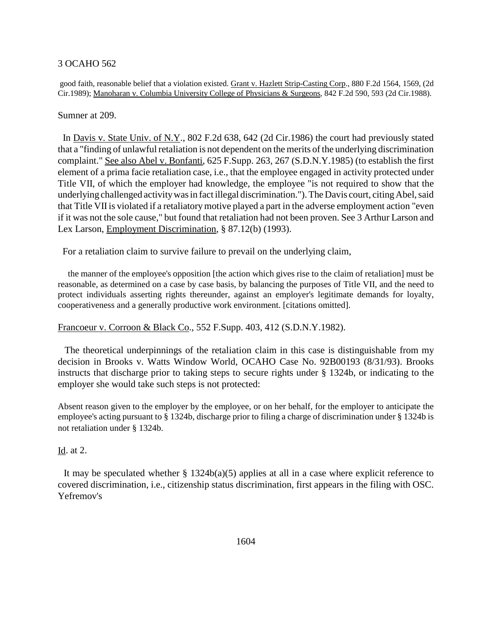good faith, reasonable belief that a violation existed. Grant v. Hazlett Strip-Casting Corp., 880 F.2d 1564, 1569, (2d Cir.1989); Manoharan v. Columbia University College of Physicians & Surgeons, 842 F.2d 590, 593 (2d Cir.1988).

Sumner at 209.

 In Davis v. State Univ. of N.Y., 802 F.2d 638, 642 (2d Cir.1986) the court had previously stated that a "finding of unlawful retaliation is not dependent on the merits of the underlying discrimination complaint." See also Abel v. Bonfanti, 625 F.Supp. 263, 267 (S.D.N.Y.1985) (to establish the first element of a prima facie retaliation case, i.e., that the employee engaged in activity protected under Title VII, of which the employer had knowledge, the employee "is not required to show that the underlying challenged activity was in fact illegal discrimination."). The Davis court, citing Abel, said that Title VII is violated if a retaliatory motive played a part in the adverse employment action "even if it was not the sole cause," but found that retaliation had not been proven. See 3 Arthur Larson and Lex Larson, Employment Discrimination, § 87.12(b) (1993).

For a retaliation claim to survive failure to prevail on the underlying claim,

 the manner of the employee's opposition [the action which gives rise to the claim of retaliation] must be reasonable, as determined on a case by case basis, by balancing the purposes of Title VII, and the need to protect individuals asserting rights thereunder, against an employer's legitimate demands for loyalty, cooperativeness and a generally productive work environment. [citations omitted].

Francoeur v. Corroon & Black Co., 552 F.Supp. 403, 412 (S.D.N.Y.1982).

 The theoretical underpinnings of the retaliation claim in this case is distinguishable from my decision in Brooks v. Watts Window World, OCAHO Case No. 92B00193 (8/31/93). Brooks instructs that discharge prior to taking steps to secure rights under § 1324b, or indicating to the employer she would take such steps is not protected:

Absent reason given to the employer by the employee, or on her behalf, for the employer to anticipate the employee's acting pursuant to § 1324b, discharge prior to filing a charge of discrimination under § 1324b is not retaliation under § 1324b.

# Id. at 2.

It may be speculated whether  $\S 1324b(a)(5)$  applies at all in a case where explicit reference to covered discrimination, i.e., citizenship status discrimination, first appears in the filing with OSC. Yefremov's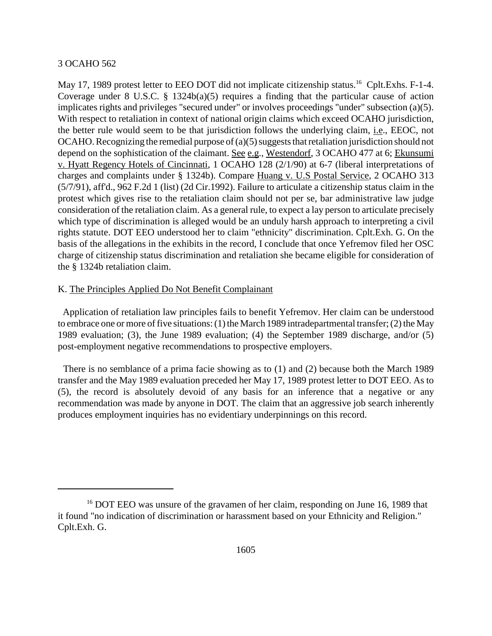May 17, 1989 protest letter to EEO DOT did not implicate citizenship status.<sup>16</sup> Cplt.Exhs. F-1-4. Coverage under 8 U.S.C. § 1324b(a)(5) requires a finding that the particular cause of action implicates rights and privileges "secured under" or involves proceedings "under" subsection (a)(5). With respect to retaliation in context of national origin claims which exceed OCAHO jurisdiction, the better rule would seem to be that jurisdiction follows the underlying claim, i.e., EEOC, not OCAHO. Recognizing the remedial purpose of (a)(5) suggests that retaliation jurisdiction should not depend on the sophistication of the claimant. See e.g., Westendorf, 3 OCAHO 477 at 6; Ekunsumi v. Hyatt Regency Hotels of Cincinnati, 1 OCAHO 128 (2/1/90) at 6-7 (liberal interpretations of charges and complaints under § 1324b). Compare Huang v. U.S Postal Service, 2 OCAHO 313 (5/7/91), aff'd., 962 F.2d 1 (list) (2d Cir.1992). Failure to articulate a citizenship status claim in the protest which gives rise to the retaliation claim should not per se, bar administrative law judge consideration of the retaliation claim. As a general rule, to expect a lay person to articulate precisely which type of discrimination is alleged would be an unduly harsh approach to interpreting a civil rights statute. DOT EEO understood her to claim "ethnicity" discrimination. Cplt.Exh. G. On the basis of the allegations in the exhibits in the record, I conclude that once Yefremov filed her OSC charge of citizenship status discrimination and retaliation she became eligible for consideration of the § 1324b retaliation claim.

# K. The Principles Applied Do Not Benefit Complainant

 Application of retaliation law principles fails to benefit Yefremov. Her claim can be understood to embrace one or more of five situations: (1) the March 1989 intradepartmental transfer; (2) the May 1989 evaluation; (3), the June 1989 evaluation; (4) the September 1989 discharge, and/or (5) post-employment negative recommendations to prospective employers.

 There is no semblance of a prima facie showing as to (1) and (2) because both the March 1989 transfer and the May 1989 evaluation preceded her May 17, 1989 protest letter to DOT EEO. As to (5), the record is absolutely devoid of any basis for an inference that a negative or any recommendation was made by anyone in DOT. The claim that an aggressive job search inherently produces employment inquiries has no evidentiary underpinnings on this record.

<sup>&</sup>lt;sup>16</sup> DOT EEO was unsure of the gravamen of her claim, responding on June 16, 1989 that it found "no indication of discrimination or harassment based on your Ethnicity and Religion." Cplt.Exh. G.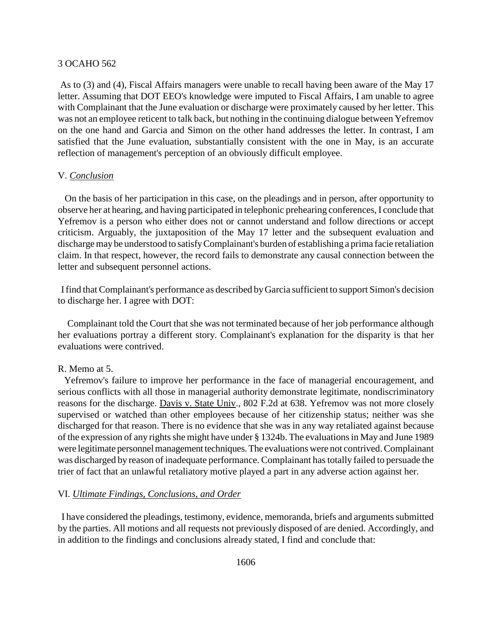As to (3) and (4), Fiscal Affairs managers were unable to recall having been aware of the May 17 letter. Assuming that DOT EEO's knowledge were imputed to Fiscal Affairs, I am unable to agree with Complainant that the June evaluation or discharge were proximately caused by her letter. This was not an employee reticent to talk back, but nothing in the continuing dialogue between Yefremov on the one hand and Garcia and Simon on the other hand addresses the letter. In contrast, I am satisfied that the June evaluation, substantially consistent with the one in May, is an accurate reflection of management's perception of an obviously difficult employee.

### V. *Conclusion*

 On the basis of her participation in this case, on the pleadings and in person, after opportunity to observe her at hearing, and having participated in telephonic prehearing conferences, I conclude that Yefremov is a person who either does not or cannot understand and follow directions or accept criticism. Arguably, the juxtaposition of the May 17 letter and the subsequent evaluation and discharge may be understood to satisfy Complainant's burden of establishing a prima facie retaliation claim. In that respect, however, the record fails to demonstrate any causal connection between the letter and subsequent personnel actions.

 I find that Complainant's performance as described by Garcia sufficient to support Simon's decision to discharge her. I agree with DOT:

 Complainant told the Court that she was not terminated because of her job performance although her evaluations portray a different story. Complainant's explanation for the disparity is that her evaluations were contrived.

#### R. Memo at 5.

 Yefremov's failure to improve her performance in the face of managerial encouragement, and serious conflicts with all those in managerial authority demonstrate legitimate, nondiscriminatory reasons for the discharge. Davis v. State Univ., 802 F.2d at 638. Yefremov was not more closely supervised or watched than other employees because of her citizenship status; neither was she discharged for that reason. There is no evidence that she was in any way retaliated against because of the expression of any rights she might have under § 1324b. The evaluations in May and June 1989 were legitimate personnel management techniques. The evaluations were not contrived. Complainant was discharged by reason of inadequate performance. Complainant has totally failed to persuade the trier of fact that an unlawful retaliatory motive played a part in any adverse action against her.

# VI. *Ultimate Findings, Conclusions, and Order*

 I have considered the pleadings, testimony, evidence, memoranda, briefs and arguments submitted by the parties. All motions and all requests not previously disposed of are denied. Accordingly, and in addition to the findings and conclusions already stated, I find and conclude that: